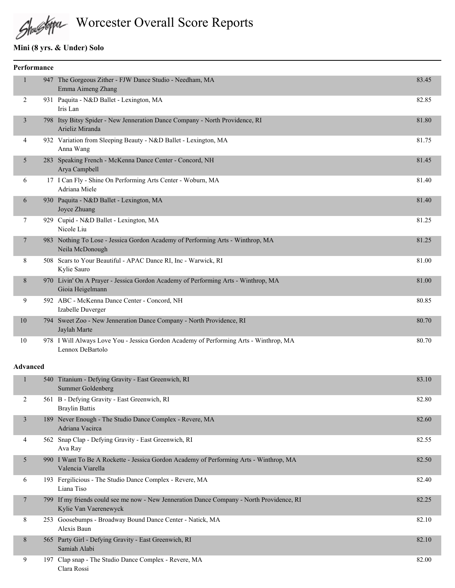# Shustopa Worcester Overall Score Reports

# **Mini (8 yrs. & Under) Solo**

| Performance     |                                                                                                                    |       |
|-----------------|--------------------------------------------------------------------------------------------------------------------|-------|
| $\mathbf{1}$    | 947 The Gorgeous Zither - FJW Dance Studio - Needham, MA<br>Emma Aimeng Zhang                                      | 83.45 |
| 2               | 931 Paquita - N&D Ballet - Lexington, MA<br>Iris Lan                                                               | 82.85 |
| 3               | 798 Itsy Bitsy Spider - New Jenneration Dance Company - North Providence, RI<br>Arieliz Miranda                    | 81.80 |
| 4               | 932 Variation from Sleeping Beauty - N&D Ballet - Lexington, MA<br>Anna Wang                                       | 81.75 |
| 5               | 283 Speaking French - McKenna Dance Center - Concord, NH<br>Arya Campbell                                          | 81.45 |
| 6               | 17 I Can Fly - Shine On Performing Arts Center - Woburn, MA<br>Adriana Miele                                       | 81.40 |
| 6               | 930 Paquita - N&D Ballet - Lexington, MA<br>Joyce Zhuang                                                           | 81.40 |
| 7               | 929 Cupid - N&D Ballet - Lexington, MA<br>Nicole Liu                                                               | 81.25 |
| $\tau$          | 983 Nothing To Lose - Jessica Gordon Academy of Performing Arts - Winthrop, MA<br>Neila McDonough                  | 81.25 |
| 8               | 508 Scars to Your Beautiful - APAC Dance RI, Inc - Warwick, RI<br>Kylie Sauro                                      | 81.00 |
| 8               | 970 Livin' On A Prayer - Jessica Gordon Academy of Performing Arts - Winthrop, MA<br>Gioia Heigelmann              | 81.00 |
| 9               | 592 ABC - McKenna Dance Center - Concord, NH<br>Izabelle Duverger                                                  | 80.85 |
| 10              | 794 Sweet Zoo - New Jenneration Dance Company - North Providence, RI<br>Jaylah Marte                               | 80.70 |
| 10              | 978 I Will Always Love You - Jessica Gordon Academy of Performing Arts - Winthrop, MA<br>Lennox DeBartolo          | 80.70 |
| <b>Advanced</b> |                                                                                                                    |       |
| $\mathbf{1}$    | 540 Titanium - Defying Gravity - East Greenwich, RI<br>Summer Goldenberg                                           | 83.10 |
| $\overline{2}$  | 561 B - Defying Gravity - East Greenwich, RI<br><b>Braylin Battis</b>                                              | 82.80 |
| $\mathfrak{Z}$  | 189 Never Enough - The Studio Dance Complex - Revere, MA<br>Adriana Vacirca                                        | 82.60 |
| 4               | 562 Snap Clap - Defying Gravity - East Greenwich, RI<br>Ava Ray                                                    | 82.55 |
| 5               | 990 I Want To Be A Rockette - Jessica Gordon Academy of Performing Arts - Winthrop, MA<br>Valencia Viarella        | 82.50 |
| 6               | 193 Fergilicious - The Studio Dance Complex - Revere, MA<br>Liana Tiso                                             | 82.40 |
| $\tau$          | 799 If my friends could see me now - New Jenneration Dance Company - North Providence, RI<br>Kylie Van Vaerenewyck | 82.25 |
| 8               | 253 Goosebumps - Broadway Bound Dance Center - Natick, MA<br>Alexis Baun                                           | 82.10 |
| 8               | 565 Party Girl - Defying Gravity - East Greenwich, RI<br>Samiah Alabi                                              | 82.10 |
| 9               | 197 Clap snap - The Studio Dance Complex - Revere, MA<br>Clara Rossi                                               | 82.00 |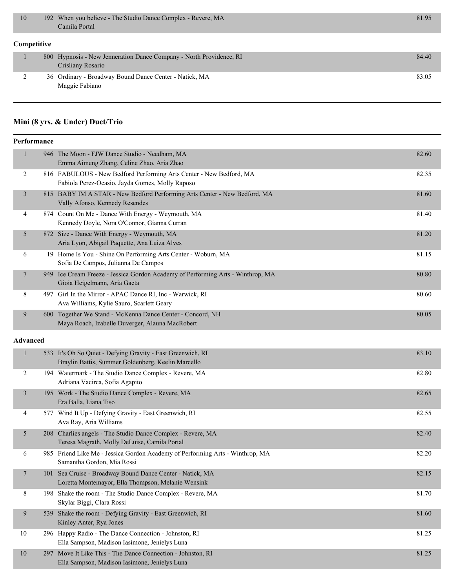|                    | 10 |  | 192 When you believe - The Studio Dance Complex - Revere, MA<br>Camila Portal            | 81.95 |  |
|--------------------|----|--|------------------------------------------------------------------------------------------|-------|--|
| <b>Competitive</b> |    |  |                                                                                          |       |  |
|                    |    |  | 800 Hypnosis - New Jenneration Dance Company - North Providence, RI<br>Crisliany Rosario | 84.40 |  |
|                    |    |  | 36 Ordinary - Broadway Bound Dance Center - Natick, MA<br>Maggie Fabiano                 | 83.05 |  |

# **Mini (8 yrs. & Under) Duet/Trio**

|                 | Performance |                                                                                                                        |       |
|-----------------|-------------|------------------------------------------------------------------------------------------------------------------------|-------|
| $\mathbf{1}$    |             | 946 The Moon - FJW Dance Studio - Needham, MA<br>Emma Aimeng Zhang, Celine Zhao, Aria Zhao                             | 82.60 |
| 2               |             | 816 FABULOUS - New Bedford Performing Arts Center - New Bedford, MA<br>Fabiola Perez-Ocasio, Jayda Gomes, Molly Raposo | 82.35 |
| $\mathfrak{Z}$  |             | 815 BABY IM A STAR - New Bedford Performing Arts Center - New Bedford, MA<br>Vally Afonso, Kennedy Resendes            | 81.60 |
| 4               |             | 874 Count On Me - Dance With Energy - Weymouth, MA<br>Kennedy Doyle, Nora O'Connor, Gianna Curran                      | 81.40 |
| 5               |             | 872 Size - Dance With Energy - Weymouth, MA<br>Aria Lyon, Abigail Paquette, Ana Luiza Alves                            | 81.20 |
| 6               |             | 19 Home Is You - Shine On Performing Arts Center - Woburn, MA<br>Sofia De Campos, Julianna De Campos                   | 81.15 |
| 7               |             | 949 Ice Cream Freeze - Jessica Gordon Academy of Performing Arts - Winthrop, MA<br>Gioia Heigelmann, Aria Gaeta        | 80.80 |
| 8               |             | 497 Girl In the Mirror - APAC Dance RI, Inc - Warwick, RI<br>Ava Williams, Kylie Sauro, Scarlett Geary                 | 80.60 |
| 9               |             | 600 Together We Stand - McKenna Dance Center - Concord, NH<br>Maya Roach, Izabelle Duverger, Alauna MacRobert          | 80.05 |
| <b>Advanced</b> |             |                                                                                                                        |       |
| $\mathbf{1}$    |             | 533 It's Oh So Quiet - Defying Gravity - East Greenwich, RI<br>Braylin Battis, Summer Goldenberg, Keelin Marcello      | 83.10 |
| 2               |             | 194 Watermark - The Studio Dance Complex - Revere, MA<br>Adriana Vacirca, Sofia Agapito                                | 82.80 |
| $\mathfrak{Z}$  |             | 195 Work - The Studio Dance Complex - Revere, MA<br>Era Balla, Liana Tiso                                              | 82.65 |
| 4               |             | 577 Wind It Up - Defying Gravity - East Greenwich, RI<br>Ava Ray, Aria Williams                                        | 82.55 |
| 5               |             | 208 Charlies angels - The Studio Dance Complex - Revere, MA<br>Teresa Magrath, Molly DeLuise, Camila Portal            | 82.40 |
| 6               |             | 985 Friend Like Me - Jessica Gordon Academy of Performing Arts - Winthrop, MA<br>Samantha Gordon, Mia Rossi            | 82.20 |
| $\overline{7}$  |             | 101 Sea Cruise - Broadway Bound Dance Center - Natick, MA<br>Loretta Montemayor, Ella Thompson, Melanie Wensink        | 82.15 |
| 8               |             | 198 Shake the room - The Studio Dance Complex - Revere, MA<br>Skylar Biggi, Clara Rossi                                | 81.70 |
| 9               |             | 539 Shake the room - Defying Gravity - East Greenwich, RI<br>Kinley Anter, Rya Jones                                   | 81.60 |
| 10              |             | 296 Happy Radio - The Dance Connection - Johnston, RI<br>Ella Sampson, Madison Iasimone, Jenielys Luna                 | 81.25 |
| 10              |             | 297 Move It Like This - The Dance Connection - Johnston, RI<br>Ella Sampson, Madison Iasimone, Jenielys Luna           | 81.25 |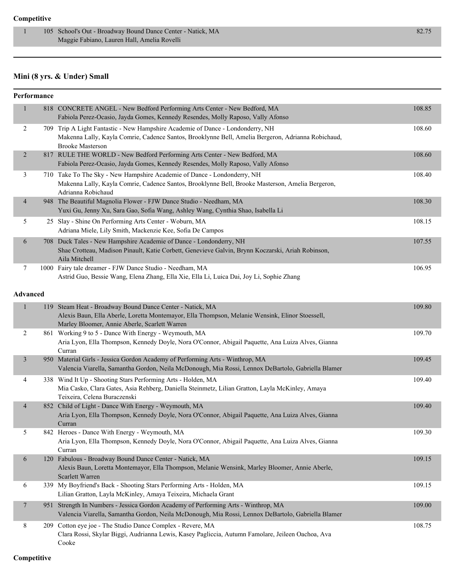#### **Competitive**

1 105 School's Out - Broadway Bound Dance Center - Natick, MA 82.75 Maggie Fabiano, Lauren Hall, Amelia Rovelli

# **Mini (8 yrs. & Under) Small**

|                | Performance     |                                                                                                                                                                                                                 |        |
|----------------|-----------------|-----------------------------------------------------------------------------------------------------------------------------------------------------------------------------------------------------------------|--------|
| $\mathbf{1}$   |                 | 818 CONCRETE ANGEL - New Bedford Performing Arts Center - New Bedford, MA<br>Fabiola Perez-Ocasio, Jayda Gomes, Kennedy Resendes, Molly Raposo, Vally Afonso                                                    | 108.85 |
| $\overline{2}$ |                 | 709 Trip A Light Fantastic - New Hampshire Academie of Dance - Londonderry, NH<br>Makenna Lally, Kayla Comrie, Cadence Santos, Brooklynne Bell, Amelia Bergeron, Adrianna Robichaud,<br><b>Brooke Masterson</b> | 108.60 |
| $\overline{2}$ |                 | 817 RULE THE WORLD - New Bedford Performing Arts Center - New Bedford, MA<br>Fabiola Perez-Ocasio, Jayda Gomes, Kennedy Resendes, Molly Raposo, Vally Afonso                                                    | 108.60 |
| 3              |                 | 710 Take To The Sky - New Hampshire Academie of Dance - Londonderry, NH<br>Makenna Lally, Kayla Comrie, Cadence Santos, Brooklynne Bell, Brooke Masterson, Amelia Bergeron,<br>Adrianna Robichaud               | 108.40 |
| $\overline{4}$ |                 | 948 The Beautiful Magnolia Flower - FJW Dance Studio - Needham, MA<br>Yuxi Gu, Jenny Xu, Sara Gao, Sofia Wang, Ashley Wang, Cynthia Shao, Isabella Li                                                           | 108.30 |
| 5              |                 | 25 Slay - Shine On Performing Arts Center - Woburn, MA<br>Adriana Miele, Lily Smith, Mackenzie Kee, Sofia De Campos                                                                                             | 108.15 |
| 6              |                 | 708 Duck Tales - New Hampshire Academie of Dance - Londonderry, NH<br>Shae Crotteau, Madison Pinault, Katie Corbett, Genevieve Galvin, Brynn Koczarski, Ariah Robinson,<br>Aila Mitchell                        | 107.55 |
| 7              |                 | 1000 Fairy tale dreamer - FJW Dance Studio - Needham, MA<br>Astrid Guo, Bessie Wang, Elena Zhang, Ella Xie, Ella Li, Luica Dai, Joy Li, Sophie Zhang                                                            | 106.95 |
|                | <b>Advanced</b> |                                                                                                                                                                                                                 |        |
| $\mathbf{1}$   |                 | 119 Steam Heat - Broadway Bound Dance Center - Natick, MA<br>Alexis Baun, Ella Aberle, Loretta Montemayor, Ella Thompson, Melanie Wensink, Elinor Stoessell,<br>Marley Bloomer, Annie Aberle, Scarlett Warren   | 109.80 |
| $\overline{2}$ |                 | 861 Working 9 to 5 - Dance With Energy - Weymouth, MA<br>Aria Lyon, Ella Thompson, Kennedy Doyle, Nora O'Connor, Abigail Paquette, Ana Luiza Alves, Gianna<br>Curran                                            | 109.70 |
| $\mathfrak{Z}$ |                 | 950 Material Girls - Jessica Gordon Academy of Performing Arts - Winthrop, MA<br>Valencia Viarella, Samantha Gordon, Neila McDonough, Mia Rossi, Lennox DeBartolo, Gabriella Blamer                             | 109.45 |
| 4              |                 | 338 Wind It Up - Shooting Stars Performing Arts - Holden, MA<br>Mia Casko, Clara Gates, Asia Rehberg, Daniella Steinmetz, Lilian Gratton, Layla McKinley, Amaya<br>Teixeira, Celena Buraczenski                 | 109.40 |
| $\overline{4}$ |                 | 852 Child of Light - Dance With Energy - Weymouth, MA<br>Aria Lyon, Ella Thompson, Kennedy Doyle, Nora O'Connor, Abigail Paquette, Ana Luiza Alves, Gianna<br>Curran                                            | 109.40 |
| 5              |                 | 842 Heroes - Dance With Energy - Weymouth, MA<br>Aria Lyon, Ella Thompson, Kennedy Doyle, Nora O'Connor, Abigail Paquette, Ana Luiza Alves, Gianna<br>Curran                                                    | 109.30 |
| 6              |                 | 120 Fabulous - Broadway Bound Dance Center - Natick, MA<br>Alexis Baun, Loretta Montemayor, Ella Thompson, Melanie Wensink, Marley Bloomer, Annie Aberle,<br>Scarlett Warren                                    | 109.15 |
| 6              |                 | 339 My Boyfriend's Back - Shooting Stars Performing Arts - Holden, MA<br>Lilian Gratton, Layla McKinley, Amaya Teixeira, Michaela Grant                                                                         | 109.15 |
| 7              |                 | 951 Strength In Numbers - Jessica Gordon Academy of Performing Arts - Winthrop, MA<br>Valencia Viarella, Samantha Gordon, Neila McDonough, Mia Rossi, Lennox DeBartolo, Gabriella Blamer                        | 109.00 |
| 8              |                 | 209 Cotton eye joe - The Studio Dance Complex - Revere, MA<br>Clara Rossi, Skylar Biggi, Audrianna Lewis, Kasey Pagliccia, Autumn Famolare, Jeileen Oachoa, Ava<br>Cooke                                        | 108.75 |

**Competitive**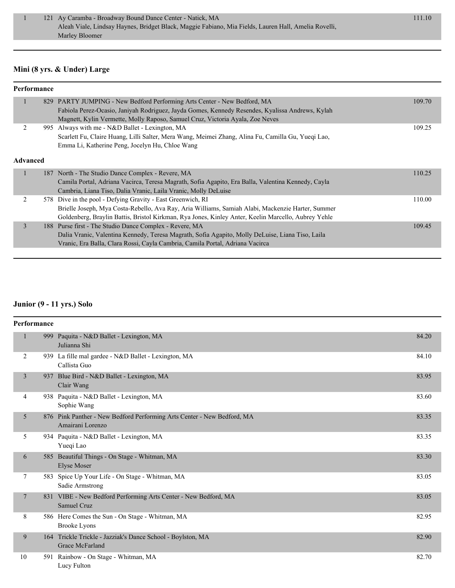#### **Mini (8 yrs. & Under) Large**

| Performance     |  |                                                                                                     |        |
|-----------------|--|-----------------------------------------------------------------------------------------------------|--------|
|                 |  | 829 PARTY JUMPING - New Bedford Performing Arts Center - New Bedford, MA                            | 109.70 |
|                 |  | Fabiola Perez-Ocasio, Janiyah Rodriguez, Jayda Gomes, Kennedy Resendes, Kyalissa Andrews, Kylah     |        |
|                 |  | Magnett, Kylin Vermette, Molly Raposo, Samuel Cruz, Victoria Ayala, Zoe Neves                       |        |
|                 |  | 995 Always with me - N&D Ballet - Lexington, MA                                                     | 109.25 |
|                 |  | Scarlett Fu, Claire Huang, Lilli Salter, Mera Wang, Meimei Zhang, Alina Fu, Camilla Gu, Yueqi Lao,  |        |
|                 |  | Emma Li, Katherine Peng, Jocelyn Hu, Chloe Wang                                                     |        |
| <b>Advanced</b> |  |                                                                                                     |        |
|                 |  | 187 North - The Studio Dance Complex - Revere, MA                                                   | 110.25 |
|                 |  | Camila Portal, Adriana Vacirca, Teresa Magrath, Sofia Agapito, Era Balla, Valentina Kennedy, Cayla  |        |
|                 |  | Cambria, Liana Tiso, Dalia Vranic, Laila Vranic, Molly DeLuise                                      |        |
| 2               |  | 578 Dive in the pool - Defying Gravity - East Greenwich, RI                                         | 110.00 |
|                 |  | Brielle Joseph, Mya Costa-Rebello, Ava Ray, Aria Williams, Samiah Alabi, Mackenzie Harter, Summer   |        |
|                 |  | Goldenberg, Braylin Battis, Bristol Kirkman, Rya Jones, Kinley Anter, Keelin Marcello, Aubrey Yehle |        |
| 3               |  | 188 Purse first - The Studio Dance Complex - Revere, MA                                             | 109.45 |
|                 |  | Dalia Vranic, Valentina Kennedy, Teresa Magrath, Sofia Agapito, Molly DeLuise, Liana Tiso, Laila    |        |
|                 |  | Vranic, Era Balla, Clara Rossi, Cayla Cambria, Camila Portal, Adriana Vacirca                       |        |

#### **Junior (9 - 11 yrs.) Solo**

| Performance    |     |                                                                                             |       |
|----------------|-----|---------------------------------------------------------------------------------------------|-------|
| $\mathbf{1}$   |     | 999 Paquita - N&D Ballet - Lexington, MA<br>Julianna Shi                                    | 84.20 |
| 2              |     | 939 La fille mal gardee - N&D Ballet - Lexington, MA<br>Callista Guo                        | 84.10 |
| $\overline{3}$ | 937 | Blue Bird - N&D Ballet - Lexington, MA<br>Clair Wang                                        | 83.95 |
| 4              |     | 938 Paquita - N&D Ballet - Lexington, MA<br>Sophie Wang                                     | 83.60 |
| 5              |     | 876 Pink Panther - New Bedford Performing Arts Center - New Bedford, MA<br>Amairani Lorenzo | 83.35 |
| 5              |     | 934 Paquita - N&D Ballet - Lexington, MA<br>Yueqi Lao                                       | 83.35 |
| 6              |     | 585 Beautiful Things - On Stage - Whitman, MA<br><b>Elyse Moser</b>                         | 83.30 |
| 7              |     | 583 Spice Up Your Life - On Stage - Whitman, MA<br>Sadie Armstrong                          | 83.05 |
| $\tau$         |     | 831 VIBE - New Bedford Performing Arts Center - New Bedford, MA<br><b>Samuel Cruz</b>       | 83.05 |
| 8              |     | 586 Here Comes the Sun - On Stage - Whitman, MA<br><b>Brooke Lyons</b>                      | 82.95 |
| 9              |     | 164 Trickle Trickle - Jazziak's Dance School - Boylston, MA<br>Grace McFarland              | 82.90 |
| 10             |     | 591 Rainbow - On Stage - Whitman, MA<br>Lucy Fulton                                         | 82.70 |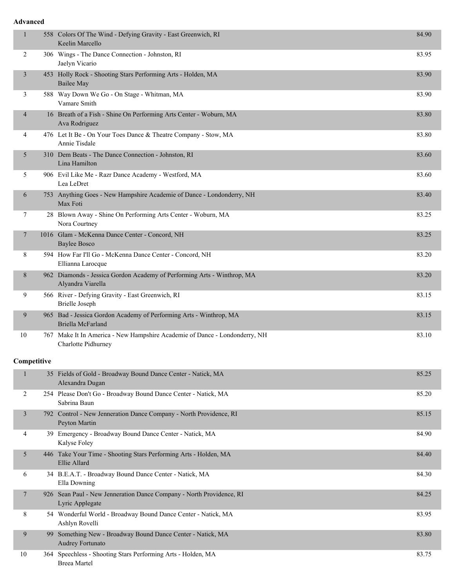#### **Advanced**

| $\mathbf{1}$   | 558 Colors Of The Wind - Defying Gravity - East Greenwich, RI<br>Keelin Marcello                  | 84.90 |
|----------------|---------------------------------------------------------------------------------------------------|-------|
| 2              | 306 Wings - The Dance Connection - Johnston, RI<br>Jaelyn Vicario                                 | 83.95 |
| 3              | 453 Holly Rock - Shooting Stars Performing Arts - Holden, MA<br><b>Bailee May</b>                 | 83.90 |
| 3              | 588 Way Down We Go - On Stage - Whitman, MA<br>Vamare Smith                                       | 83.90 |
| 4              | 16 Breath of a Fish - Shine On Performing Arts Center - Woburn, MA<br>Ava Rodriguez               | 83.80 |
| 4              | 476 Let It Be - On Your Toes Dance & Theatre Company - Stow, MA<br>Annie Tisdale                  | 83.80 |
| 5              | 310 Dem Beats - The Dance Connection - Johnston, RI<br>Lina Hamilton                              | 83.60 |
| 5              | 906 Evil Like Me - Razr Dance Academy - Westford, MA<br>Lea LeDret                                | 83.60 |
| 6              | 753 Anything Goes - New Hampshire Academie of Dance - Londonderry, NH<br>Max Foti                 | 83.40 |
| 7              | 28 Blown Away - Shine On Performing Arts Center - Woburn, MA<br>Nora Courtney                     | 83.25 |
| $\tau$         | 1016 Glam - McKenna Dance Center - Concord, NH<br><b>Baylee Bosco</b>                             | 83.25 |
| 8              | 594 How Far I'll Go - McKenna Dance Center - Concord, NH<br>Ellianna Larocque                     | 83.20 |
| 8              | 962 Diamonds - Jessica Gordon Academy of Performing Arts - Winthrop, MA<br>Alyandra Viarella      | 83.20 |
| 9              | 566 River - Defying Gravity - East Greenwich, RI<br><b>Brielle Joseph</b>                         | 83.15 |
| 9              | 965 Bad - Jessica Gordon Academy of Performing Arts - Winthrop, MA<br>Briella McFarland           | 83.15 |
| 10             | 767 Make It In America - New Hampshire Academie of Dance - Londonderry, NH<br>Charlotte Pidhurney | 83.10 |
| Competitive    |                                                                                                   |       |
| $\mathbf{1}$   | 35 Fields of Gold - Broadway Bound Dance Center - Natick, MA<br>Alexandra Dugan                   | 85.25 |
| 2              | 254 Please Don't Go - Broadway Bound Dance Center - Natick, MA<br>Sabrina Baun                    | 85.20 |
| $\mathfrak{Z}$ | 792 Control - New Jenneration Dance Company - North Providence, RI<br>Peyton Martin               | 85.15 |
| 4              | 39 Emergency - Broadway Bound Dance Center - Natick, MA<br>Kalyse Foley                           | 84.90 |
| 5 <sup>5</sup> | 446 Take Your Time - Shooting Stars Performing Arts - Holden, MA<br>Ellie Allard                  | 84.40 |
| 6              | 34 B.E.A.T. - Broadway Bound Dance Center - Natick, MA<br>Ella Downing                            | 84.30 |
| 7              | 926 Sean Paul - New Jenneration Dance Company - North Providence, RI<br>Lyric Applegate           | 84.25 |
| 8              | 54 Wonderful World - Broadway Bound Dance Center - Natick, MA<br>Ashlyn Rovelli                   | 83.95 |
| 9              | 99 Something New - Broadway Bound Dance Center - Natick, MA<br>Audrey Fortunato                   | 83.80 |
| 10             | 364 Speechless - Shooting Stars Performing Arts - Holden, MA<br><b>Breea</b> Martel               | 83.75 |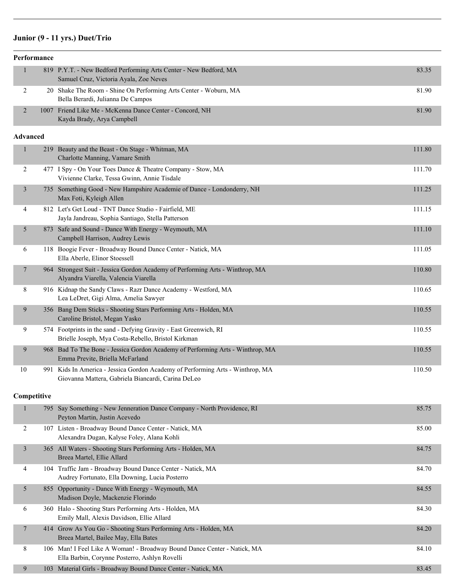# **Junior (9 - 11 yrs.) Duet/Trio**

| Performance     |             |                                                                                                                                      |        |  |
|-----------------|-------------|--------------------------------------------------------------------------------------------------------------------------------------|--------|--|
| $\mathbf{1}$    |             | 819 P.Y.T. - New Bedford Performing Arts Center - New Bedford, MA<br>Samuel Cruz, Victoria Ayala, Zoe Neves                          | 83.35  |  |
| 2               |             | 20 Shake The Room - Shine On Performing Arts Center - Woburn, MA<br>Bella Berardi, Julianna De Campos                                | 81.90  |  |
| $\overline{2}$  |             | 1007 Friend Like Me - McKenna Dance Center - Concord, NH<br>Kayda Brady, Arya Campbell                                               | 81.90  |  |
| <b>Advanced</b> |             |                                                                                                                                      |        |  |
| $\mathbf{1}$    |             | 219 Beauty and the Beast - On Stage - Whitman, MA<br>Charlotte Manning, Vamare Smith                                                 | 111.80 |  |
| 2               |             | 477 I Spy - On Your Toes Dance & Theatre Company - Stow, MA<br>Vivienne Clarke, Tessa Gwinn, Annie Tisdale                           | 111.70 |  |
| 3               |             | 735 Something Good - New Hampshire Academie of Dance - Londonderry, NH<br>Max Foti, Kyleigh Allen                                    | 111.25 |  |
| 4               |             | 812 Let's Get Loud - TNT Dance Studio - Fairfield, ME<br>Jayla Jandreau, Sophia Santiago, Stella Patterson                           | 111.15 |  |
| 5               |             | 873 Safe and Sound - Dance With Energy - Weymouth, MA<br>Campbell Harrison, Audrey Lewis                                             | 111.10 |  |
| 6               |             | 118 Boogie Fever - Broadway Bound Dance Center - Natick, MA<br>Ella Aberle, Elinor Stoessell                                         | 111.05 |  |
| 7               |             | 964 Strongest Suit - Jessica Gordon Academy of Performing Arts - Winthrop, MA<br>Alyandra Viarella, Valencia Viarella                | 110.80 |  |
| 8               |             | 916 Kidnap the Sandy Claws - Razr Dance Academy - Westford, MA<br>Lea LeDret, Gigi Alma, Amelia Sawyer                               | 110.65 |  |
| 9               |             | 356 Bang Dem Sticks - Shooting Stars Performing Arts - Holden, MA<br>Caroline Bristol, Megan Yasko                                   | 110.55 |  |
| 9               |             | 574 Footprints in the sand - Defying Gravity - East Greenwich, RI<br>Brielle Joseph, Mya Costa-Rebello, Bristol Kirkman              | 110.55 |  |
| 9               |             | 968 Bad To The Bone - Jessica Gordon Academy of Performing Arts - Winthrop, MA<br>Emma Previte, Briella McFarland                    | 110.55 |  |
| 10              |             | 991 Kids In America - Jessica Gordon Academy of Performing Arts - Winthrop, MA<br>Giovanna Mattera, Gabriela Biancardi, Carina DeLeo | 110.50 |  |
|                 | Competitive |                                                                                                                                      |        |  |
| 1               |             | 795 Say Something - New Jenneration Dance Company - North Providence, RI<br>Peyton Martin, Justin Acevedo                            | 85.75  |  |
| 2               |             | 107 Listen - Broadway Bound Dance Center - Natick, MA<br>Alexandra Dugan, Kalyse Foley, Alana Kohli                                  | 85.00  |  |
| 3               |             | 365 All Waters - Shooting Stars Performing Arts - Holden, MA<br>Breea Martel, Ellie Allard                                           | 84.75  |  |
| 4               |             | 104 Traffic Jam - Broadway Bound Dance Center - Natick, MA<br>Audrey Fortunato, Ella Downing, Lucia Posterro                         | 84.70  |  |
| 5               |             | 855 Opportunity - Dance With Energy - Weymouth, MA<br>Madison Doyle, Mackenzie Florindo                                              | 84.55  |  |
| 6               |             | 360 Halo - Shooting Stars Performing Arts - Holden, MA<br>Emily Mall, Alexis Davidson, Ellie Allard                                  | 84.30  |  |
| 7               |             | 414 Grow As You Go - Shooting Stars Performing Arts - Holden, MA<br>Breea Martel, Bailee May, Ella Bates                             | 84.20  |  |
| 8               |             | 106 Man! I Feel Like A Woman! - Broadway Bound Dance Center - Natick, MA<br>Ella Barbin, Corynne Posterro, Ashlyn Rovelli            | 84.10  |  |
| 9               |             | 103 Material Girls - Broadway Bound Dance Center - Natick, MA                                                                        | 83.45  |  |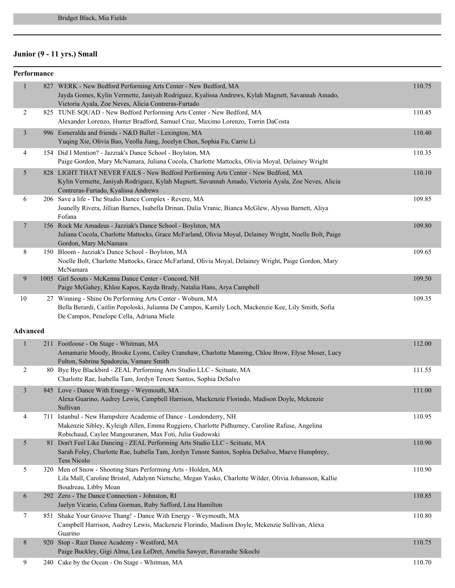# **Junior (9 - 11 yrs.) Small**

| Performance     |     |                                                                                                                                                                                                                                 |        |
|-----------------|-----|---------------------------------------------------------------------------------------------------------------------------------------------------------------------------------------------------------------------------------|--------|
| 1               |     | 827 WERK - New Bedford Performing Arts Center - New Bedford, MA<br>Jayda Gomes, Kylin Vermette, Janiyah Rodriguez, Kyalissa Andrews, Kylah Magnett, Savannah Amado,<br>Victoria Ayala, Zoe Neves, Alicia Contreras-Furtado      | 110.75 |
| 2               |     | 825 TUNE SQUAD - New Bedford Performing Arts Center - New Bedford, MA<br>Alexander Lorenzo, Hunter Bradford, Samuel Cruz, Maximo Lorenzo, Torrin DaCosta                                                                        | 110.45 |
| 3               |     | 996 Esmeralda and friends - N&D Ballet - Lexington, MA<br>Yuqing Xie, Olivia Bao, Veolla Jiang, Jocelyn Chen, Sophia Fu, Carrie Li                                                                                              | 110.40 |
| 4               |     | 154 Did I Mention? - Jazziak's Dance School - Boylston, MA<br>Paige Gordon, Mary McNamara, Juliana Cocola, Charlotte Mattocks, Olivia Moyal, Delainey Wright                                                                    | 110.35 |
| 5               |     | 828 LIGHT THAT NEVER FAILS - New Bedford Performing Arts Center - New Bedford, MA<br>Kylin Vermette, Janiyah Rodriguez, Kylah Magnett, Savannah Amado, Victoria Ayala, Zoe Neves, Alicia<br>Contreras-Furtado, Kyalissa Andrews | 110.10 |
| 6               |     | 206 Save a life - The Studio Dance Complex - Revere, MA<br>Joanelly Rivera, Jillian Barnes, Isabella Drinan, Dalia Vranic, Bianca McGlew, Alyssa Barnett, Aliya<br>Fofana                                                       | 109.85 |
| 7               |     | 156 Rock Me Amadeus - Jazziak's Dance School - Boylston, MA<br>Juliana Cocola, Charlotte Mattocks, Grace McFarland, Olivia Moyal, Delainey Wright, Noelle Bolt, Paige<br>Gordon, Mary McNamara                                  | 109.80 |
| 8               |     | 150 Bloom - Jazziak's Dance School - Boylston, MA<br>Noelle Bolt, Charlotte Mattocks, Grace McFarland, Olivia Moyal, Delainey Wright, Paige Gordon, Mary<br>McNamara                                                            | 109.65 |
| 9               |     | 1005 Girl Scouts - McKenna Dance Center - Concord, NH<br>Paige McGahey, Khloe Kapos, Kayda Brady, Natalia Hans, Arya Campbell                                                                                                   | 109.50 |
| 10              |     | 27 Winning - Shine On Performing Arts Center - Woburn, MA<br>Bella Berardi, Caitlin Popoloski, Julianna De Campos, Kamily Loch, Mackenzie Kee, Lily Smith, Sofia<br>De Campos, Penelope Cella, Adriana Miele                    | 109.35 |
| <b>Advanced</b> |     |                                                                                                                                                                                                                                 |        |
| $\mathbf{1}$    |     | 211 Footloose - On Stage - Whitman, MA<br>Annamarie Moody, Brooke Lyons, Cailey Cranshaw, Charlotte Manning, Chloe Brow, Elyse Moser, Lucy<br>Fulton, Sabrina Spadorcia, Vamare Smith                                           | 112.00 |
| 2               |     | 80 Bye Bye Blackbird - ZEAL Performing Arts Studio LLC - Scituate, MA<br>Charlotte Rae, Isabella Tam, Jordyn Tenore Santos, Sophia DeSalvo                                                                                      | 111.55 |
| 3               |     | 845 Love - Dance With Energy - Weymouth, MA<br>Alexa Guarino, Audrey Lewis, Campbell Harrison, Mackenzie Florindo, Madison Doyle, Mckenzie<br>Sullivan                                                                          | 111.00 |
| 4               | 711 | Istanbul - New Hampshire Academie of Dance - Londonderry, NH<br>Makenzie Sibley, Kyleigh Allen, Emma Ruggiero, Charlotte Pidhurney, Caroline Rafuse, Angelina<br>Robichaud, Caylee Mangouranen, Max Foti, Julia Gudowski        | 110.95 |
| 5               |     | 81 Don't Feel Like Dancing - ZEAL Performing Arts Studio LLC - Scituate, MA<br>Sarah Foley, Charlotte Rae, Isabella Tam, Jordyn Tenore Santos, Sophia DeSalvo, Maeve Humphrey,<br><b>Tess Nicolo</b>                            | 110.90 |
| 5               |     | 320 Men of Snow - Shooting Stars Performing Arts - Holden, MA<br>Lila Mall, Caroline Bristol, Adalynn Nietsche, Megan Yasko, Charlotte Wilder, Olivia Johansson, Kallie<br>Boudreau, Libby Moan                                 | 110.90 |
| 6               |     | 292 Zero - The Dance Connection - Johnston, RI<br>Jaelyn Vicario, Celina Gorman, Ruby Safford, Lina Hamilton                                                                                                                    | 110.85 |
| 7               |     | 851 Shake Your Groove Thang! - Dance With Energy - Weymouth, MA<br>Campbell Harrison, Audrey Lewis, Mackenzie Florindo, Madison Doyle, Mckenzie Sullivan, Alexa<br>Guarino                                                      | 110.80 |
| 8               |     | 920 Stop - Razr Dance Academy - Westford, MA<br>Paige Buckley, Gigi Alma, Lea LeDret, Amelia Sawyer, Ruvarashe Sikochi                                                                                                          | 110.75 |
| 9               |     | 240 Cake by the Ocean - On Stage - Whitman, MA                                                                                                                                                                                  | 110.70 |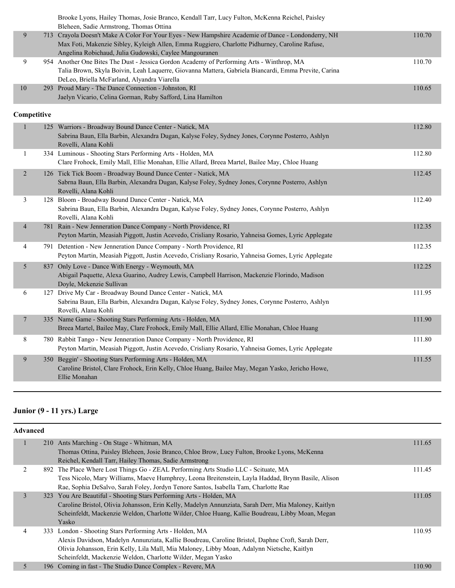|                  |             | Brooke Lyons, Hailey Thomas, Josie Branco, Kendall Tarr, Lucy Fulton, McKenna Reichel, Paisley<br>Bleheen, Sadie Armstrong, Thomas Ottina                                                                                                                      |        |
|------------------|-------------|----------------------------------------------------------------------------------------------------------------------------------------------------------------------------------------------------------------------------------------------------------------|--------|
| 9                |             | 713 Crayola Doesn't Make A Color For Your Eyes - New Hampshire Academie of Dance - Londonderry, NH<br>Max Foti, Makenzie Sibley, Kyleigh Allen, Emma Ruggiero, Charlotte Pidhurney, Caroline Rafuse,<br>Angelina Robichaud, Julia Gudowski, Caylee Mangouranen | 110.70 |
| 9                |             | 954 Another One Bites The Dust - Jessica Gordon Academy of Performing Arts - Winthrop, MA<br>Talia Brown, Skyla Boivin, Leah Laquerre, Giovanna Mattera, Gabriela Biancardi, Emma Previte, Carina<br>DeLeo, Briella McFarland, Alyandra Viarella               | 110.70 |
| 10               |             | 293 Proud Mary - The Dance Connection - Johnston, RI<br>Jaelyn Vicario, Celina Gorman, Ruby Safford, Lina Hamilton                                                                                                                                             | 110.65 |
|                  | Competitive |                                                                                                                                                                                                                                                                |        |
| $\mathbf{1}$     |             | 125 Warriors - Broadway Bound Dance Center - Natick, MA<br>Sabrina Baun, Ella Barbin, Alexandra Dugan, Kalyse Foley, Sydney Jones, Corynne Posterro, Ashlyn<br>Rovelli, Alana Kohli                                                                            | 112.80 |
| $\mathbf{1}$     |             | 334 Luminous - Shooting Stars Performing Arts - Holden, MA<br>Clare Frohock, Emily Mall, Ellie Monahan, Ellie Allard, Breea Martel, Bailee May, Chloe Huang                                                                                                    | 112.80 |
| $\overline{2}$   |             | 126 Tick Tick Boom - Broadway Bound Dance Center - Natick, MA<br>Sabrna Baun, Ella Barbin, Alexandra Dugan, Kalyse Foley, Sydney Jones, Corynne Posterro, Ashlyn<br>Rovelli, Alana Kohli                                                                       | 112.45 |
| 3                |             | 128 Bloom - Broadway Bound Dance Center - Natick, MA<br>Sabrina Baun, Ella Barbin, Alexandra Dugan, Kalyse Foley, Sydney Jones, Corynne Posterro, Ashlyn<br>Rovelli, Alana Kohli                                                                               | 112.40 |
| $\overline{4}$   |             | 781 Rain - New Jenneration Dance Company - North Providence, RI<br>Peyton Martin, Measiah Piggott, Justin Acevedo, Crisliany Rosario, Yahneisa Gomes, Lyric Applegate                                                                                          | 112.35 |
| 4                |             | 791 Detention - New Jenneration Dance Company - North Providence, RI<br>Peyton Martin, Measiah Piggott, Justin Acevedo, Crisliany Rosario, Yahneisa Gomes, Lyric Applegate                                                                                     | 112.35 |
| 5                |             | 837 Only Love - Dance With Energy - Weymouth, MA<br>Abigail Paquette, Alexa Guarino, Audrey Lewis, Campbell Harrison, Mackenzie Florindo, Madison<br>Doyle, Mckenzie Sullivan                                                                                  | 112.25 |
| 6                |             | 127 Drive My Car - Broadway Bound Dance Center - Natick, MA<br>Sabrina Baun, Ella Barbin, Alexandra Dugan, Kalyse Foley, Sydney Jones, Corynne Posterro, Ashlyn<br>Rovelli, Alana Kohli                                                                        | 111.95 |
| $\boldsymbol{7}$ |             | 335 Name Game - Shooting Stars Performing Arts - Holden, MA<br>Breea Martel, Bailee May, Clare Frohock, Emily Mall, Ellie Allard, Ellie Monahan, Chloe Huang                                                                                                   | 111.90 |
| 8                |             | 780 Rabbit Tango - New Jenneration Dance Company - North Providence, RI<br>Peyton Martin, Measiah Piggott, Justin Acevedo, Crisliany Rosario, Yahneisa Gomes, Lyric Applegate                                                                                  | 111.80 |
| 9                |             | 350 Beggin' - Shooting Stars Performing Arts - Holden, MA<br>Caroline Bristol, Clare Frohock, Erin Kelly, Chloe Huang, Bailee May, Megan Yasko, Jericho Howe,<br>Ellie Monahan                                                                                 | 111.55 |

# **Junior (9 - 11 yrs.) Large**

| <b>Advanced</b> |                                                                                                      |                                                                                                                                                                                                                                                                                                                                    |  |  |
|-----------------|------------------------------------------------------------------------------------------------------|------------------------------------------------------------------------------------------------------------------------------------------------------------------------------------------------------------------------------------------------------------------------------------------------------------------------------------|--|--|
|                 |                                                                                                      | 111.65                                                                                                                                                                                                                                                                                                                             |  |  |
|                 | Thomas Ottina, Paisley Bleheen, Josie Branco, Chloe Brow, Lucy Fulton, Brooke Lyons, McKenna         |                                                                                                                                                                                                                                                                                                                                    |  |  |
|                 | Reichel, Kendall Tarr, Hailey Thomas, Sadie Armstrong                                                |                                                                                                                                                                                                                                                                                                                                    |  |  |
|                 |                                                                                                      | 111.45                                                                                                                                                                                                                                                                                                                             |  |  |
|                 | Tess Nicolo, Mary Williams, Maeve Humphrey, Leona Breitenstein, Layla Haddad, Brynn Basile, Alison   |                                                                                                                                                                                                                                                                                                                                    |  |  |
|                 | Rae, Sophia DeSalvo, Sarah Foley, Jordyn Tenore Santos, Isabella Tam, Charlotte Rae                  |                                                                                                                                                                                                                                                                                                                                    |  |  |
|                 |                                                                                                      | 111.05                                                                                                                                                                                                                                                                                                                             |  |  |
|                 | Caroline Bristol, Olivia Johansson, Erin Kelly, Madelyn Annunziata, Sarah Derr, Mia Maloney, Kaitlyn |                                                                                                                                                                                                                                                                                                                                    |  |  |
|                 | Scheinfeldt, Mackenzie Weldon, Charlotte Wilder, Chloe Huang, Kallie Boudreau, Libby Moan, Megan     |                                                                                                                                                                                                                                                                                                                                    |  |  |
|                 | Yasko                                                                                                |                                                                                                                                                                                                                                                                                                                                    |  |  |
|                 |                                                                                                      | 110.95                                                                                                                                                                                                                                                                                                                             |  |  |
|                 | Alexis Davidson, Madelyn Annunziata, Kallie Boudreau, Caroline Bristol, Daphne Croft, Sarah Derr,    |                                                                                                                                                                                                                                                                                                                                    |  |  |
|                 | Olivia Johansson, Erin Kelly, Lila Mall, Mia Maloney, Libby Moan, Adalynn Nietsche, Kaitlyn          |                                                                                                                                                                                                                                                                                                                                    |  |  |
|                 | Scheinfeldt, Mackenzie Weldon, Charlotte Wilder, Megan Yasko                                         |                                                                                                                                                                                                                                                                                                                                    |  |  |
|                 |                                                                                                      | 110.90                                                                                                                                                                                                                                                                                                                             |  |  |
|                 |                                                                                                      | 210 Ants Marching - On Stage - Whitman, MA<br>892 The Place Where Lost Things Go - ZEAL Performing Arts Studio LLC - Scituate, MA<br>323 You Are Beautiful - Shooting Stars Performing Arts - Holden, MA<br>333 London - Shooting Stars Performing Arts - Holden, MA<br>196 Coming in fast - The Studio Dance Complex - Revere, MA |  |  |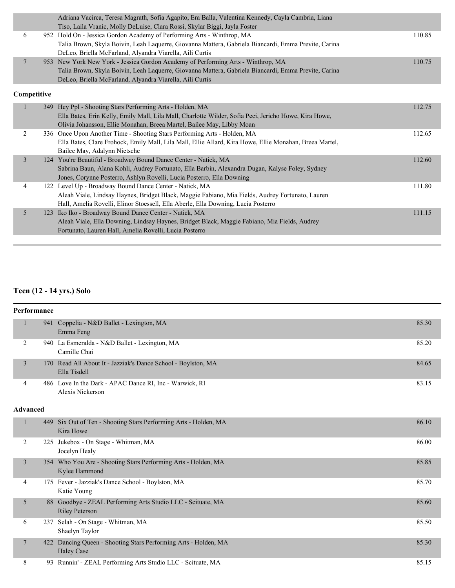|                |             | Adriana Vacirca, Teresa Magrath, Sofia Agapito, Era Balla, Valentina Kennedy, Cayla Cambria, Liana<br>Tiso, Laila Vranic, Molly DeLuise, Clara Rossi, Skylar Biggi, Jayla Foster      |        |
|----------------|-------------|---------------------------------------------------------------------------------------------------------------------------------------------------------------------------------------|--------|
| 6              |             | 952 Hold On - Jessica Gordon Academy of Performing Arts - Winthrop, MA<br>Talia Brown, Skyla Boivin, Leah Laquerre, Giovanna Mattera, Gabriela Biancardi, Emma Previte, Carina        | 110.85 |
|                |             | DeLeo, Briella McFarland, Alyandra Viarella, Aili Curtis                                                                                                                              |        |
| $\tau$         |             | 953 New York New York - Jessica Gordon Academy of Performing Arts - Winthrop, MA                                                                                                      | 110.75 |
|                |             | Talia Brown, Skyla Boivin, Leah Laquerre, Giovanna Mattera, Gabriela Biancardi, Emma Previte, Carina                                                                                  |        |
|                |             | DeLeo, Briella McFarland, Alyandra Viarella, Aili Curtis                                                                                                                              |        |
|                | Competitive |                                                                                                                                                                                       |        |
| $\mathbf{1}$   |             | 349 Hey Ppl - Shooting Stars Performing Arts - Holden, MA                                                                                                                             | 112.75 |
|                |             | Ella Bates, Erin Kelly, Emily Mall, Lila Mall, Charlotte Wilder, Sofia Peci, Jericho Howe, Kira Howe,                                                                                 |        |
|                |             | Olivia Johansson, Ellie Monahan, Breea Martel, Bailee May, Libby Moan                                                                                                                 |        |
| 2              |             | 336 Once Upon Another Time - Shooting Stars Performing Arts - Holden, MA                                                                                                              | 112.65 |
|                |             | Ella Bates, Clare Frohock, Emily Mall, Lila Mall, Ellie Allard, Kira Howe, Ellie Monahan, Breea Martel,                                                                               |        |
|                |             | Bailee May, Adalynn Nietsche                                                                                                                                                          |        |
| $\mathfrak{Z}$ |             | 124 You're Beautiful - Broadway Bound Dance Center - Natick, MA                                                                                                                       | 112.60 |
|                |             | Sabrina Baun, Alana Kohli, Audrey Fortunato, Ella Barbin, Alexandra Dugan, Kalyse Foley, Sydney                                                                                       |        |
|                |             | Jones, Corynne Posterro, Ashlyn Rovelli, Lucia Posterro, Ella Downing                                                                                                                 |        |
| 4              |             | 122 Level Up - Broadway Bound Dance Center - Natick, MA                                                                                                                               | 111.80 |
|                |             | Aleah Viale, Lindsay Haynes, Bridget Black, Maggie Fabiano, Mia Fields, Audrey Fortunato, Lauren<br>Hall, Amelia Rovelli, Elinor Stoessell, Ella Aberle, Ella Downing, Lucia Posterro |        |
| 5              | 123         | Iko Iko - Broadway Bound Dance Center - Natick, MA                                                                                                                                    | 111.15 |
|                |             | Aleah Viale, Ella Downing, Lindsay Haynes, Bridget Black, Maggie Fabiano, Mia Fields, Audrey                                                                                          |        |
|                |             | Fortunato, Lauren Hall, Amelia Rovelli, Lucia Posterro                                                                                                                                |        |
|                |             |                                                                                                                                                                                       |        |

# **Teen (12 - 14 yrs.) Solo**

| Performance     |                                                                                      |       |
|-----------------|--------------------------------------------------------------------------------------|-------|
|                 | 941 Coppelia - N&D Ballet - Lexington, MA<br>Emma Feng                               | 85.30 |
| $\overline{2}$  | 940 La Esmeralda - N&D Ballet - Lexington, MA<br>Camille Chai                        | 85.20 |
| 3               | 170 Read All About It - Jazziak's Dance School - Boylston, MA<br>Ella Tisdell        | 84.65 |
| $\overline{4}$  | 486 Love In the Dark - APAC Dance RI, Inc - Warwick, RI<br>Alexis Nickerson          | 83.15 |
| <b>Advanced</b> |                                                                                      |       |
| 1               | 449 Six Out of Ten - Shooting Stars Performing Arts - Holden, MA<br>Kira Howe        | 86.10 |
| $\overline{2}$  | 225 Jukebox - On Stage - Whitman, MA<br>Jocelyn Healy                                | 86.00 |
| 3               | 354 Who You Are - Shooting Stars Performing Arts - Holden, MA<br>Kylee Hammond       | 85.85 |
| 4               | 175 Fever - Jazziak's Dance School - Boylston, MA<br>Katie Young                     | 85.70 |
| 5               | 88 Goodbye - ZEAL Performing Arts Studio LLC - Scituate, MA<br><b>Riley Peterson</b> | 85.60 |
| 6               | 237 Selah - On Stage - Whitman, MA<br>Shaelyn Taylor                                 | 85.50 |
| 7               | 422 Dancing Queen - Shooting Stars Performing Arts - Holden, MA<br><b>Haley Case</b> | 85.30 |
| 8               | 93 Runnin' - ZEAL Performing Arts Studio LLC - Scituate, MA                          | 85.15 |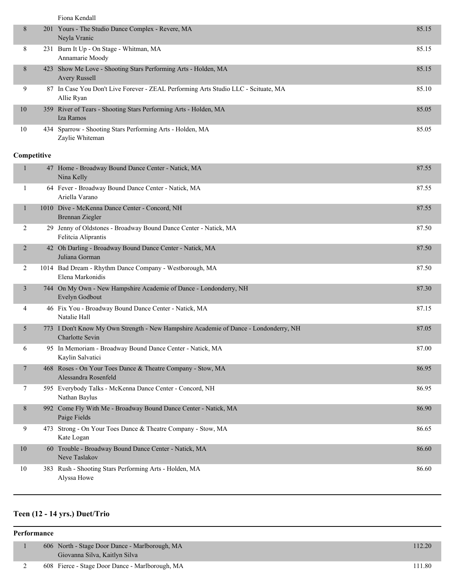Fiona Kendall

| 8  | 201 Yours - The Studio Dance Complex - Revere, MA<br>Neyla Vranic                                | 85.15 |
|----|--------------------------------------------------------------------------------------------------|-------|
| 8  | 231 Burn It Up - On Stage - Whitman, MA<br>Annamarie Moody                                       | 85.15 |
| 8  | 423 Show Me Love - Shooting Stars Performing Arts - Holden, MA<br><b>Avery Russell</b>           | 85.15 |
| 9  | 87 In Case You Don't Live Forever - ZEAL Performing Arts Studio LLC - Scituate, MA<br>Allie Ryan | 85.10 |
| 10 | 359 River of Tears - Shooting Stars Performing Arts - Holden, MA<br>Iza Ramos                    | 85.05 |
| 10 | 434 Sparrow - Shooting Stars Performing Arts - Holden, MA<br>Zaylie Whiteman                     | 85.05 |

#### **Competitive**

| $\mathbf{1}$   | 47 Home - Broadway Bound Dance Center - Natick, MA<br>Nina Kelly                                               | 87.55 |
|----------------|----------------------------------------------------------------------------------------------------------------|-------|
| 1              | 64 Fever - Broadway Bound Dance Center - Natick, MA<br>Ariella Varano                                          | 87.55 |
| $\mathbf{1}$   | 1010 Dive - McKenna Dance Center - Concord, NH<br>Brennan Ziegler                                              | 87.55 |
| $\overline{2}$ | 29 Jenny of Oldstones - Broadway Bound Dance Center - Natick, MA<br>Felitcia Aliprantis                        | 87.50 |
| 2              | 42 Oh Darling - Broadway Bound Dance Center - Natick, MA<br>Juliana Gorman                                     | 87.50 |
| 2              | 1014 Bad Dream - Rhythm Dance Company - Westborough, MA<br>Elena Markonidis                                    | 87.50 |
| 3              | 744 On My Own - New Hampshire Academie of Dance - Londonderry, NH<br>Evelyn Godbout                            | 87.30 |
| 4              | 46 Fix You - Broadway Bound Dance Center - Natick, MA<br>Natalie Hall                                          | 87.15 |
| 5              | 773 I Don't Know My Own Strength - New Hampshire Academie of Dance - Londonderry, NH<br><b>Charlotte Sevin</b> | 87.05 |
| 6              | 95 In Memoriam - Broadway Bound Dance Center - Natick, MA<br>Kaylin Salvatici                                  | 87.00 |
| 7              | 468 Roses - On Your Toes Dance & Theatre Company - Stow, MA<br>Alessandra Rosenfeld                            | 86.95 |
| 7              | 595 Everybody Talks - McKenna Dance Center - Concord, NH<br>Nathan Baylus                                      | 86.95 |
| 8              | 992 Come Fly With Me - Broadway Bound Dance Center - Natick, MA<br>Paige Fields                                | 86.90 |
| 9              | 473 Strong - On Your Toes Dance & Theatre Company - Stow, MA<br>Kate Logan                                     | 86.65 |
| 10             | 60 Trouble - Broadway Bound Dance Center - Natick, MA<br>Neve Taslakov                                         | 86.60 |
| 10             | 383 Rush - Shooting Stars Performing Arts - Holden, MA<br>Alyssa Howe                                          | 86.60 |

# **Teen (12 - 14 yrs.) Duet/Trio**

| Performance |  |                                                                                 |        |
|-------------|--|---------------------------------------------------------------------------------|--------|
|             |  | 606 North - Stage Door Dance - Marlborough, MA<br>Giovanna Silva, Kaitlyn Silva | 112.20 |
|             |  | 608 Fierce - Stage Door Dance - Marlborough, MA                                 | 111.80 |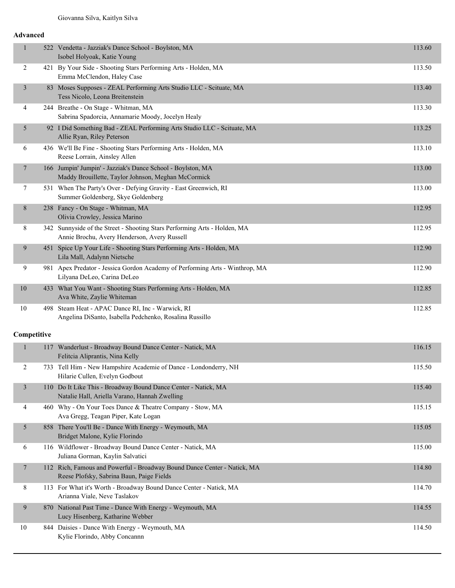#### **Advanced**

| $\mathbf{1}$   | 522 Vendetta - Jazziak's Dance School - Boylston, MA<br>Isobel Holyoak, Katie Young                                       | 113.60 |
|----------------|---------------------------------------------------------------------------------------------------------------------------|--------|
| 2              | 421 By Your Side - Shooting Stars Performing Arts - Holden, MA<br>Emma McClendon, Haley Case                              | 113.50 |
| 3              | 83 Moses Supposes - ZEAL Performing Arts Studio LLC - Scituate, MA<br>Tess Nicolo, Leona Breitenstein                     | 113.40 |
| 4              | 244 Breathe - On Stage - Whitman, MA<br>Sabrina Spadorcia, Annamarie Moody, Jocelyn Healy                                 | 113.30 |
| 5              | 92 I Did Something Bad - ZEAL Performing Arts Studio LLC - Scituate, MA<br>Allie Ryan, Riley Peterson                     | 113.25 |
| 6              | 436 We'll Be Fine - Shooting Stars Performing Arts - Holden, MA<br>Reese Lorrain, Ainsley Allen                           | 113.10 |
| $\overline{7}$ | 166 Jumpin' Jumpin' - Jazziak's Dance School - Boylston, MA<br>Maddy Brouillette, Taylor Johnson, Meghan McCormick        | 113.00 |
| 7              | 531 When The Party's Over - Defying Gravity - East Greenwich, RI<br>Summer Goldenberg, Skye Goldenberg                    | 113.00 |
| 8              | 238 Fancy - On Stage - Whitman, MA<br>Olivia Crowley, Jessica Marino                                                      | 112.95 |
| 8              | 342 Sunnyside of the Street - Shooting Stars Performing Arts - Holden, MA<br>Annie Brochu, Avery Henderson, Avery Russell | 112.95 |
| 9              | 451 Spice Up Your Life - Shooting Stars Performing Arts - Holden, MA<br>Lila Mall, Adalynn Nietsche                       | 112.90 |
| 9              | 981 Apex Predator - Jessica Gordon Academy of Performing Arts - Winthrop, MA<br>Lilyana DeLeo, Carina DeLeo               | 112.90 |
| 10             | 433 What You Want - Shooting Stars Performing Arts - Holden, MA<br>Ava White, Zaylie Whiteman                             | 112.85 |
| 10             | 498 Steam Heat - APAC Dance RI, Inc - Warwick, RI<br>Angelina DiSanto, Isabella Pedchenko, Rosalina Russillo              | 112.85 |
| Competitive    |                                                                                                                           |        |
| 1              | 117 Wanderlust - Broadway Bound Dance Center - Natick, MA<br>Felitcia Aliprantis, Nina Kelly                              | 116.15 |
| $\overline{c}$ | 733 Tell Him - New Hampshire Academie of Dance - Londonderry, NH<br>Hilarie Cullen, Evelyn Godbout                        | 115.50 |
| 3              | 110 Do It Like This - Broadway Bound Dance Center - Natick, MA<br>Natalie Hall, Ariella Varano, Hannah Zwelling           | 115.40 |
| 4              | 460 Why - On Your Toes Dance & Theatre Company - Stow, MA<br>Ava Gregg, Teagan Piper, Kate Logan                          | 115.15 |
| 5              | 858 There You'll Be - Dance With Energy - Weymouth, MA<br>Bridget Malone, Kylie Florindo                                  | 115.05 |
| 6              | 116 Wildflower - Broadway Bound Dance Center - Natick, MA<br>Juliana Gorman, Kaylin Salvatici                             | 115.00 |
| 7              | 112 Rich, Famous and Powerful - Broadway Bound Dance Center - Natick, MA<br>Reese Plofsky, Sabrina Baun, Paige Fields     | 114.80 |
| 8              | 113 For What it's Worth - Broadway Bound Dance Center - Natick, MA<br>Arianna Viale, Neve Taslakov                        | 114.70 |
| 9              | 870 National Past Time - Dance With Energy - Weymouth, MA<br>Lucy Hisenberg, Katharine Webber                             | 114.55 |
| 10             | 844 Daisies - Dance With Energy - Weymouth, MA<br>Kylie Florindo, Abby Concannn                                           | 114.50 |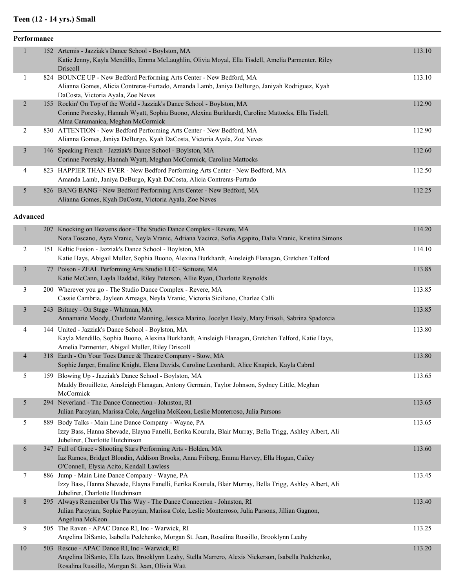#### **Teen (12 - 14 yrs.) Small**

| Performance             |                                                                                                                                                             |        |
|-------------------------|-------------------------------------------------------------------------------------------------------------------------------------------------------------|--------|
|                         | 152 Artemis - Jazziak's Dance School - Boylston, MA                                                                                                         | 113.10 |
|                         | Katie Jenny, Kayla Mendillo, Emma McLaughlin, Olivia Moyal, Ella Tisdell, Amelia Parmenter, Riley<br>Driscoll                                               |        |
| 1                       | 824 BOUNCE UP - New Bedford Performing Arts Center - New Bedford, MA                                                                                        | 113.10 |
|                         | Alianna Gomes, Alicia Contreras-Furtado, Amanda Lamb, Janiya DeBurgo, Janiyah Rodriguez, Kyah                                                               |        |
|                         | DaCosta, Victoria Ayala, Zoe Neves                                                                                                                          |        |
| $\overline{2}$          | 155 Rockin' On Top of the World - Jazziak's Dance School - Boylston, MA                                                                                     | 112.90 |
|                         | Corinne Poretsky, Hannah Wyatt, Sophia Buono, Alexina Burkhardt, Caroline Mattocks, Ella Tisdell,                                                           |        |
| 2                       | Alma Caramanica, Meghan McCormick<br>830 ATTENTION - New Bedford Performing Arts Center - New Bedford, MA                                                   | 112.90 |
|                         | Alianna Gomes, Janiya DeBurgo, Kyah DaCosta, Victoria Ayala, Zoe Neves                                                                                      |        |
| 3                       | 146 Speaking French - Jazziak's Dance School - Boylston, MA                                                                                                 | 112.60 |
|                         | Corinne Poretsky, Hannah Wyatt, Meghan McCormick, Caroline Mattocks                                                                                         |        |
| 4                       | 823 HAPPIER THAN EVER - New Bedford Performing Arts Center - New Bedford, MA                                                                                | 112.50 |
|                         | Amanda Lamb, Janiya DeBurgo, Kyah DaCosta, Alicia Contreras-Furtado                                                                                         |        |
| 5                       | 826 BANG BANG - New Bedford Performing Arts Center - New Bedford, MA                                                                                        | 112.25 |
|                         | Alianna Gomes, Kyah DaCosta, Victoria Ayala, Zoe Neves                                                                                                      |        |
| <b>Advanced</b>         |                                                                                                                                                             |        |
| 1                       | 207 Knocking on Heavens door - The Studio Dance Complex - Revere, MA                                                                                        | 114.20 |
|                         | Nora Toscano, Ayra Vranic, Neyla Vranic, Adriana Vacirca, Sofia Agapito, Dalia Vranic, Kristina Simons                                                      |        |
| 2                       | 151 Keltic Fusion - Jazziak's Dance School - Boylston, MA                                                                                                   | 114.10 |
|                         | Katie Hays, Abigail Muller, Sophia Buono, Alexina Burkhardt, Ainsleigh Flanagan, Gretchen Telford                                                           |        |
| $\overline{\mathbf{3}}$ | 77 Poison - ZEAL Performing Arts Studio LLC - Scituate, MA                                                                                                  | 113.85 |
|                         | Katie McCann, Layla Haddad, Riley Peterson, Allie Ryan, Charlotte Reynolds                                                                                  |        |
| 3                       | 200 Wherever you go - The Studio Dance Complex - Revere, MA                                                                                                 | 113.85 |
|                         | Cassie Cambria, Jayleen Arreaga, Neyla Vranic, Victoria Siciliano, Charlee Calli                                                                            |        |
| 3                       | 243 Britney - On Stage - Whitman, MA                                                                                                                        | 113.85 |
|                         | Annamarie Moody, Charlotte Manning, Jessica Marino, Jocelyn Healy, Mary Frisoli, Sabrina Spadorcia                                                          |        |
| 4                       | 144 United - Jazziak's Dance School - Boylston, MA                                                                                                          | 113.80 |
|                         | Kayla Mendillo, Sophia Buono, Alexina Burkhardt, Ainsleigh Flanagan, Gretchen Telford, Katie Hays,                                                          |        |
|                         | Amelia Parmenter, Abigail Muller, Riley Driscoll                                                                                                            |        |
| 4                       | 318 Earth - On Your Toes Dance & Theatre Company - Stow, MA<br>Sophie Jarger, Emaline Knight, Elena Davids, Caroline Leonhardt, Alice Knapick, Kayla Cabral | 113.80 |
| 5                       | 159 Blowing Up - Jazziak's Dance School - Boylston, MA                                                                                                      | 113.65 |
|                         | Maddy Brouillette, Ainsleigh Flanagan, Antony Germain, Taylor Johnson, Sydney Little, Meghan                                                                |        |
|                         | McCormick                                                                                                                                                   |        |
| 5                       | 294 Neverland - The Dance Connection - Johnston, RI                                                                                                         | 113.65 |
|                         | Julian Paroyian, Marissa Cole, Angelina McKeon, Leslie Monterroso, Julia Parsons                                                                            |        |
| 5                       | 889 Body Talks - Main Line Dance Company - Wayne, PA                                                                                                        | 113.65 |
|                         | Izzy Bass, Hanna Shevade, Elayna Fanelli, Eerika Kourula, Blair Murray, Bella Trigg, Ashley Albert, Ali                                                     |        |
|                         | Jubelirer, Charlotte Hutchinson                                                                                                                             |        |
| 6                       | 347 Full of Grace - Shooting Stars Performing Arts - Holden, MA                                                                                             | 113.60 |

Angelina McKeon 9 505 The Raven - APAC Dance RI, Inc - Warwick, RI 113.25 Angelina DiSanto, Isabella Pedchenko, Morgan St. Jean, Rosalina Russillo, Brooklynn Leahy 10 503 Rescue - APAC Dance RI, Inc - Warwick, RI 113.20 Angelina DiSanto, Ella Izzo, Brooklynn Leahy, Stella Marrero, Alexis Nickerson, Isabella Pedchenko, Rosalina Russillo, Morgan St. Jean, Olivia Watt

7 886 Jump - Main Line Dance Company - Wayne, PA 113.45

8 295 Always Remember Us This Way - The Dance Connection - Johnston, RI 113.40

Iaz Ramos, Bridget Blondin, Addison Brooks, Anna Friberg, Emma Harvey, Ella Hogan, Cailey

Julian Paroyian, Sophie Paroyian, Marissa Cole, Leslie Monterroso, Julia Parsons, Jillian Gagnon,

Izzy Bass, Hanna Shevade, Elayna Fanelli, Eerika Kourula, Blair Murray, Bella Trigg, Ashley Albert, Ali

O'Connell, Elysia Acito, Kendall Lawless

Jubelirer, Charlotte Hutchinson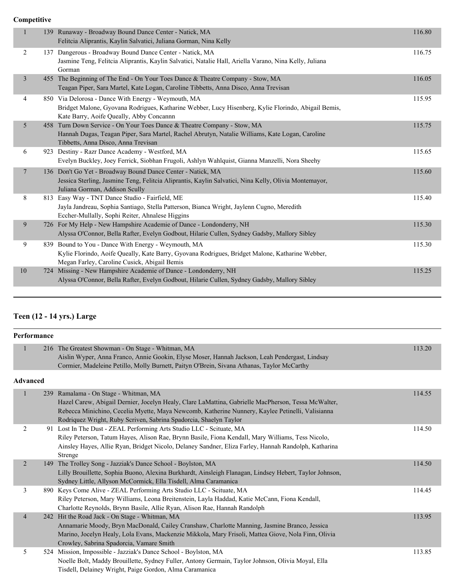#### **Competitive**

| $\mathbf{1}$   |     | 139 Runaway - Broadway Bound Dance Center - Natick, MA<br>Felitcia Aliprantis, Kaylin Salvatici, Juliana Gorman, Nina Kelly                                                                                       | 116.80 |
|----------------|-----|-------------------------------------------------------------------------------------------------------------------------------------------------------------------------------------------------------------------|--------|
| $\overline{2}$ |     | 137 Dangerous - Broadway Bound Dance Center - Natick, MA<br>Jasmine Teng, Felitcia Aliprantis, Kaylin Salvatici, Natalie Hall, Ariella Varano, Nina Kelly, Juliana<br>Gorman                                      | 116.75 |
| $\mathfrak{Z}$ |     | 455 The Beginning of The End - On Your Toes Dance & Theatre Company - Stow, MA<br>Teagan Piper, Sara Martel, Kate Logan, Caroline Tibbetts, Anna Disco, Anna Trevisan                                             | 116.05 |
| $\overline{4}$ |     | 850 Via Delorosa - Dance With Energy - Weymouth, MA<br>Bridget Malone, Gyovana Rodrigues, Katharine Webber, Lucy Hisenberg, Kylie Florindo, Abigail Bemis,<br>Kate Barry, Aoife Queally, Abby Concannn            | 115.95 |
| 5              |     | 458 Turn Down Service - On Your Toes Dance & Theatre Company - Stow, MA<br>Hannah Dugas, Teagan Piper, Sara Martel, Rachel Abrutyn, Natalie Williams, Kate Logan, Caroline<br>Tibbetts, Anna Disco, Anna Trevisan | 115.75 |
| 6              | 923 | Destiny - Razr Dance Academy - Westford, MA<br>Evelyn Buckley, Joey Ferrick, Siobhan Frugoli, Ashlyn Wahlquist, Gianna Manzelli, Nora Sheehy                                                                      | 115.65 |
| $\tau$         |     | 136 Don't Go Yet - Broadway Bound Dance Center - Natick, MA<br>Jessica Sterling, Jasmine Teng, Felitcia Aliprantis, Kaylin Salvatici, Nina Kelly, Olivia Montemayor,<br>Juliana Gorman, Addison Scully            | 115.60 |
| 8              |     | 813 Easy Way - TNT Dance Studio - Fairfield, ME<br>Jayla Jandreau, Sophia Santiago, Stella Patterson, Bianca Wright, Jaylenn Cugno, Meredith<br>Eccher-Mullally, Sophi Reiter, Ahnalese Higgins                   | 115.40 |
| 9              |     | 726 For My Help - New Hampshire Academie of Dance - Londonderry, NH<br>Alyssa O'Connor, Bella Rafter, Evelyn Godbout, Hilarie Cullen, Sydney Gadsby, Mallory Sibley                                               | 115.30 |
| 9              |     | 839 Bound to You - Dance With Energy - Weymouth, MA<br>Kylie Florindo, Aoife Queally, Kate Barry, Gyovana Rodrigues, Bridget Malone, Katharine Webber,<br>Megan Farley, Caroline Cusick, Abigail Bemis            | 115.30 |
| 10             |     | 724 Missing - New Hampshire Academie of Dance - Londonderry, NH<br>Alyssa O'Connor, Bella Rafter, Evelyn Godbout, Hilarie Cullen, Sydney Gadsby, Mallory Sibley                                                   | 115.25 |

# **Teen (12 - 14 yrs.) Large**

|                | Performance     |                                                                                                                                                                                                                                                                                                                       |        |  |  |
|----------------|-----------------|-----------------------------------------------------------------------------------------------------------------------------------------------------------------------------------------------------------------------------------------------------------------------------------------------------------------------|--------|--|--|
| $\mathbf{1}$   |                 | 216 The Greatest Showman - On Stage - Whitman, MA<br>Aislin Wyper, Anna Franco, Annie Gookin, Elyse Moser, Hannah Jackson, Leah Pendergast, Lindsay<br>Cormier, Madeleine Petillo, Molly Burnett, Paityn O'Brein, Sivana Athanas, Taylor McCarthy                                                                     | 113.20 |  |  |
|                | <b>Advanced</b> |                                                                                                                                                                                                                                                                                                                       |        |  |  |
| 1              |                 | 239 Ramalama - On Stage - Whitman, MA<br>Hazel Carew, Abigail Dernier, Jocelyn Healy, Clare LaMattina, Gabrielle MacPherson, Tessa McWalter,<br>Rebecca Minichino, Cecelia Myette, Maya Newcomb, Katherine Nunnery, Kaylee Petinelli, Valisianna<br>Rodriquez Wright, Ruby Scriven, Sabrina Spadorcia, Shaelyn Taylor | 114.55 |  |  |
| 2              |                 | 91 Lost In The Dust - ZEAL Performing Arts Studio LLC - Scituate, MA<br>Riley Peterson, Tatum Hayes, Alison Rae, Brynn Basile, Fiona Kendall, Mary Williams, Tess Nicolo,<br>Ainsley Hayes, Allie Ryan, Bridget Nicolo, Delaney Sandner, Eliza Farley, Hannah Randolph, Katharina<br>Strenge                          | 114.50 |  |  |
| $\overline{2}$ |                 | 149 The Trolley Song - Jazziak's Dance School - Boylston, MA<br>Lilly Brouillette, Sophia Buono, Alexina Burkhardt, Ainsleigh Flanagan, Lindsey Hebert, Taylor Johnson,<br>Sydney Little, Allyson McCormick, Ella Tisdell, Alma Caramanica                                                                            | 114.50 |  |  |
| 3              |                 | 890 Keys Come Alive - ZEAL Performing Arts Studio LLC - Scituate, MA<br>Riley Peterson, Mary Williams, Leona Breitenstein, Layla Haddad, Katie McCann, Fiona Kendall,<br>Charlotte Reynolds, Brynn Basile, Allie Ryan, Alison Rae, Hannah Randolph                                                                    | 114.45 |  |  |
| $\overline{4}$ |                 | 242 Hit the Road Jack - On Stage - Whitman, MA<br>Annamarie Moody, Bryn MacDonald, Cailey Cranshaw, Charlotte Manning, Jasmine Branco, Jessica<br>Marino, Jocelyn Healy, Lola Evans, Mackenzie Mikkola, Mary Frisoli, Mattea Giove, Nola Finn, Olivia<br>Crowley, Sabrina Spadorcia, Vamare Smith                     | 113.95 |  |  |
| 5              |                 | 524 Mission, Impossible - Jazziak's Dance School - Boylston, MA<br>Noelle Bolt, Maddy Brouillette, Sydney Fuller, Antony Germain, Taylor Johnson, Olivia Moyal, Ella<br>Tisdell, Delainey Wright, Paige Gordon, Alma Caramanica                                                                                       | 113.85 |  |  |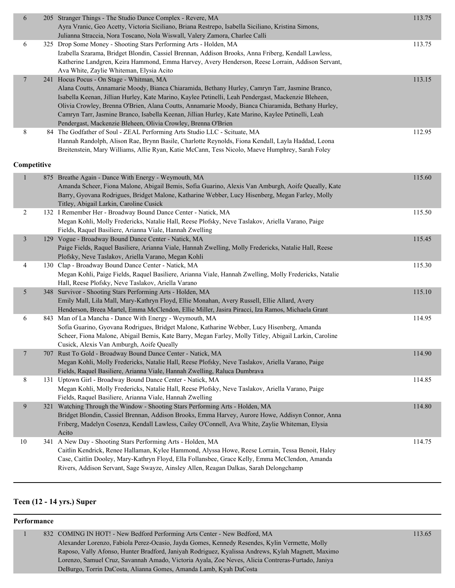| 6              | 205 Stranger Things - The Studio Dance Complex - Revere, MA<br>Ayra Vranic, Geo Acetty, Victoria Siciliano, Briana Restrepo, Isabella Siciliano, Kristina Simons,                                                                                                                                                                                                                                                                                                                                                            | 113.75 |
|----------------|------------------------------------------------------------------------------------------------------------------------------------------------------------------------------------------------------------------------------------------------------------------------------------------------------------------------------------------------------------------------------------------------------------------------------------------------------------------------------------------------------------------------------|--------|
|                | Julianna Straccia, Nora Toscano, Nola Wiswall, Valery Zamora, Charlee Calli                                                                                                                                                                                                                                                                                                                                                                                                                                                  |        |
| 6              | 325 Drop Some Money - Shooting Stars Performing Arts - Holden, MA<br>Izabella Szarama, Bridget Blondin, Cassiel Brennan, Addison Brooks, Anna Friberg, Kendall Lawless,<br>Katherine Landgren, Keira Hammond, Emma Harvey, Avery Henderson, Reese Lorrain, Addison Servant,<br>Ava White, Zaylie Whiteman, Elysia Acito                                                                                                                                                                                                      | 113.75 |
| 7              | 241 Hocus Pocus - On Stage - Whitman, MA<br>Alana Coutts, Annamarie Moody, Bianca Chiaramida, Bethany Hurley, Camryn Tarr, Jasmine Branco,<br>Isabella Keenan, Jillian Hurley, Kate Marino, Kaylee Petinelli, Leah Pendergast, Mackenzie Bleheen,<br>Olivia Crowley, Brenna O'Brien, Alana Coutts, Annamarie Moody, Bianca Chiaramida, Bethany Hurley,<br>Camryn Tarr, Jasmine Branco, Isabella Keenan, Jillian Hurley, Kate Marino, Kaylee Petinelli, Leah<br>Pendergast, Mackenzie Bleheen, Olivia Crowley, Brenna O'Brien | 113.15 |
| 8              | 84 The Godfather of Soul - ZEAL Performing Arts Studio LLC - Scituate, MA<br>Hannah Randolph, Alison Rae, Brynn Basile, Charlotte Reynolds, Fiona Kendall, Layla Haddad, Leona<br>Breitenstein, Mary Williams, Allie Ryan, Katie McCann, Tess Nicolo, Maeve Humphrey, Sarah Foley                                                                                                                                                                                                                                            | 112.95 |
| Competitive    |                                                                                                                                                                                                                                                                                                                                                                                                                                                                                                                              |        |
| $\mathbf{1}$   | 875 Breathe Again - Dance With Energy - Weymouth, MA<br>Amanda Scheer, Fiona Malone, Abigail Bemis, Sofia Guarino, Alexis Van Amburgh, Aoife Queally, Kate<br>Barry, Gyovana Rodrigues, Bridget Malone, Katharine Webber, Lucy Hisenberg, Megan Farley, Molly<br>Titley, Abigail Larkin, Caroline Cusick                                                                                                                                                                                                                     | 115.60 |
| $\overline{c}$ | 132 I Remember Her - Broadway Bound Dance Center - Natick, MA<br>Megan Kohli, Molly Fredericks, Natalie Hall, Reese Plofsky, Neve Taslakov, Ariella Varano, Paige<br>Fields, Raquel Basiliere, Arianna Viale, Hannah Zwelling                                                                                                                                                                                                                                                                                                | 115.50 |
| $\mathfrak{Z}$ | 129 Vogue - Broadway Bound Dance Center - Natick, MA<br>Paige Fields, Raquel Basiliere, Arianna Viale, Hannah Zwelling, Molly Fredericks, Natalie Hall, Reese<br>Plofsky, Neve Taslakov, Ariella Varano, Megan Kohli                                                                                                                                                                                                                                                                                                         | 115.45 |
| 4              | 130 Clap - Broadway Bound Dance Center - Natick, MA<br>Megan Kohli, Paige Fields, Raquel Basiliere, Arianna Viale, Hannah Zwelling, Molly Fredericks, Natalie<br>Hall, Reese Plofsky, Neve Taslakov, Ariella Varano                                                                                                                                                                                                                                                                                                          | 115.30 |
| 5              | 348 Survivor - Shooting Stars Performing Arts - Holden, MA<br>Emily Mall, Lila Mall, Mary-Kathryn Floyd, Ellie Monahan, Avery Russell, Ellie Allard, Avery<br>Henderson, Breea Martel, Emma McClendon, Ellie Miller, Jasira Piracci, Iza Ramos, Michaela Grant                                                                                                                                                                                                                                                               | 115.10 |
| 6              | 843 Man of La Mancha - Dance With Energy - Weymouth, MA<br>Sofia Guarino, Gyovana Rodrigues, Bridget Malone, Katharine Webber, Lucy Hisenberg, Amanda<br>Scheer, Fiona Malone, Abigail Bemis, Kate Barry, Megan Farley, Molly Titley, Abigail Larkin, Caroline<br>Cusick, Alexis Van Amburgh, Aoife Queally                                                                                                                                                                                                                  | 114.95 |
| $\tau$         | 707 Rust To Gold - Broadway Bound Dance Center - Natick, MA<br>Megan Kohli, Molly Fredericks, Natalie Hall, Reese Plofsky, Neve Taslakov, Ariella Varano, Paige<br>Fields, Raquel Basiliere, Arianna Viale, Hannah Zwelling, Raluca Dumbrava                                                                                                                                                                                                                                                                                 | 114.90 |
| 8              | 131 Uptown Girl - Broadway Bound Dance Center - Natick, MA<br>Megan Kohli, Molly Fredericks, Natalie Hall, Reese Plofsky, Neve Taslakov, Ariella Varano, Paige<br>Fields, Raquel Basiliere, Arianna Viale, Hannah Zwelling                                                                                                                                                                                                                                                                                                   | 114.85 |
| 9              | 321 Watching Through the Window - Shooting Stars Performing Arts - Holden, MA<br>Bridget Blondin, Cassiel Brennan, Addison Brooks, Emma Harvey, Aurore Howe, Addisyn Connor, Anna<br>Friberg, Madelyn Cosenza, Kendall Lawless, Cailey O'Connell, Ava White, Zaylie Whiteman, Elysia<br>Acito                                                                                                                                                                                                                                | 114.80 |
| 10             | 341 A New Day - Shooting Stars Performing Arts - Holden, MA<br>Caitlin Kendrick, Renee Hallaman, Kylee Hammond, Alyssa Howe, Reese Lorrain, Tessa Benoit, Haley<br>Case, Caitlin Dooley, Mary-Kathryn Floyd, Ella Follansbee, Grace Kelly, Emma McClendon, Amanda<br>Rivers, Addison Servant, Sage Swayze, Ainsley Allen, Reagan Dalkas, Sarah Delongchamp                                                                                                                                                                   | 114.75 |

# **Teen (12 - 14 yrs.) Super**

#### **Performance**

| 832 COMING IN HOT! - New Bedford Performing Arts Center - New Bedford, MA                         | 13.65 |
|---------------------------------------------------------------------------------------------------|-------|
| Alexander Lorenzo, Fabiola Perez-Ocasio, Jayda Gomes, Kennedy Resendes, Kylin Vermette, Molly     |       |
| Raposo, Vally Afonso, Hunter Bradford, Janiyah Rodriguez, Kyalissa Andrews, Kylah Magnett, Maximo |       |
| Lorenzo, Samuel Cruz, Savannah Amado, Victoria Ayala, Zoe Neves, Alicia Contreras-Furtado, Janiya |       |
| DeBurgo, Torrin DaCosta, Alianna Gomes, Amanda Lamb, Kyah DaCosta                                 |       |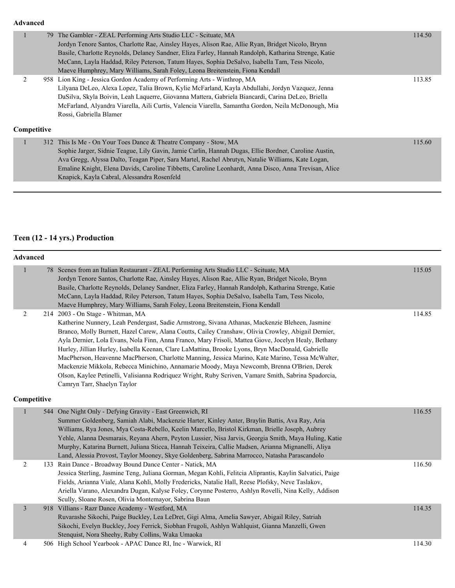#### **Advanced**

|             | 79 The Gambler - ZEAL Performing Arts Studio LLC - Scituate, MA                                       | 114.50 |
|-------------|-------------------------------------------------------------------------------------------------------|--------|
|             | Jordyn Tenore Santos, Charlotte Rae, Ainsley Hayes, Alison Rae, Allie Ryan, Bridget Nicolo, Brynn     |        |
|             | Basile, Charlotte Reynolds, Delaney Sandner, Eliza Farley, Hannah Randolph, Katharina Strenge, Katie  |        |
|             | McCann, Layla Haddad, Riley Peterson, Tatum Hayes, Sophia DeSalvo, Isabella Tam, Tess Nicolo,         |        |
|             | Maeve Humphrey, Mary Williams, Sarah Foley, Leona Breitenstein, Fiona Kendall                         |        |
| 2           | 958 Lion King - Jessica Gordon Academy of Performing Arts - Winthrop, MA                              | 113.85 |
|             | Lilyana DeLeo, Alexa Lopez, Talia Brown, Kylie McFarland, Kayla Abdullahi, Jordyn Vazquez, Jenna      |        |
|             | DaSilva, Skyla Boivin, Leah Laquerre, Giovanna Mattera, Gabriela Biancardi, Carina DeLeo, Briella     |        |
|             | McFarland, Alyandra Viarella, Aili Curtis, Valencia Viarella, Samantha Gordon, Neila McDonough, Mia   |        |
|             | Rossi, Gabriella Blamer                                                                               |        |
| Competitive |                                                                                                       |        |
|             | 312 This Is Me - On Your Toes Dance & Theatre Company - Stow, MA                                      | 115.60 |
|             | Sophie Jarger, Sidnie Teague, Lily Gavin, Jamie Carlin, Hannah Dugas, Ellie Bordner, Caroline Austin, |        |
|             | Ava Gregg, Alyssa Dalto, Teagan Piper, Sara Martel, Rachel Abrutyn, Natalie Williams, Kate Logan,     |        |
|             | Emaline Knight, Elena Davids, Caroline Tibbetts, Caroline Leonhardt, Anna Disco, Anna Trevisan, Alice |        |
|             | Knapick, Kayla Cabral, Alessandra Rosenfeld                                                           |        |

# **Teen (12 - 14 yrs.) Production**

| <b>Advanced</b> |     |                                                                                                                                                                                                                                                                                                                                                                                                                                                                                                                                                                                                                                                                                                                                                                                                   |        |  |
|-----------------|-----|---------------------------------------------------------------------------------------------------------------------------------------------------------------------------------------------------------------------------------------------------------------------------------------------------------------------------------------------------------------------------------------------------------------------------------------------------------------------------------------------------------------------------------------------------------------------------------------------------------------------------------------------------------------------------------------------------------------------------------------------------------------------------------------------------|--------|--|
| $\mathbf{1}$    |     | 78 Scenes from an Italian Restaurant - ZEAL Performing Arts Studio LLC - Scituate, MA<br>Jordyn Tenore Santos, Charlotte Rae, Ainsley Hayes, Alison Rae, Allie Ryan, Bridget Nicolo, Brynn<br>Basile, Charlotte Reynolds, Delaney Sandner, Eliza Farley, Hannah Randolph, Katharina Strenge, Katie<br>McCann, Layla Haddad, Riley Peterson, Tatum Hayes, Sophia DeSalvo, Isabella Tam, Tess Nicolo,<br>Maeve Humphrey, Mary Williams, Sarah Foley, Leona Breitenstein, Fiona Kendall                                                                                                                                                                                                                                                                                                              | 115.05 |  |
| 2               |     | 214 2003 - On Stage - Whitman, MA<br>Katherine Nunnery, Leah Pendergast, Sadie Armstrong, Sivana Athanas, Mackenzie Bleheen, Jasmine<br>Branco, Molly Burnett, Hazel Carew, Alana Coutts, Cailey Cranshaw, Olivia Crowley, Abigail Dernier,<br>Ayla Dernier, Lola Evans, Nola Finn, Anna Franco, Mary Frisoli, Mattea Giove, Jocelyn Healy, Bethany<br>Hurley, Jillian Hurley, Isabella Keenan, Clare LaMattina, Brooke Lyons, Bryn MacDonald, Gabrielle<br>MacPherson, Heavenne MacPherson, Charlotte Manning, Jessica Marino, Kate Marino, Tessa McWalter,<br>Mackenzie Mikkola, Rebecca Minichino, Annamarie Moody, Maya Newcomb, Brenna O'Brien, Derek<br>Olson, Kaylee Petinelli, Valisianna Rodriquez Wright, Ruby Scriven, Vamare Smith, Sabrina Spadorcia,<br>Camryn Tarr, Shaelyn Taylor | 114.85 |  |
| Competitive     |     |                                                                                                                                                                                                                                                                                                                                                                                                                                                                                                                                                                                                                                                                                                                                                                                                   |        |  |
|                 | 544 | One Night Only - Defying Gravity - East Greenwich, RI<br>Summer Goldenberg, Samiah Alabi, Mackenzie Harter, Kinley Anter, Braylin Battis, Ava Ray, Aria<br>Williams, Rya Jones, Mya Costa-Rebello, Keelin Marcello, Bristol Kirkman, Brielle Joseph, Aubrey<br>Yehle, Alanna Desmarais, Reyana Ahern, Peyton Lussier, Nisa Jarvis, Georgia Smith, Maya Huling, Katie<br>Murphy, Katarina Burnett, Juliana Sticca, Hannah Teixeira, Callie Madsen, Arianna Mignanelli, Aliya<br>Land, Alessia Provost, Taylor Mooney, Skye Goldenberg, Sabrina Marrocco, Natasha Parascandolo                                                                                                                                                                                                                      | 116.55 |  |
| 2               |     | 133 Rain Dance - Broadway Bound Dance Center - Natick, MA<br>Jessica Sterling, Jasmine Teng, Juliana Gorman, Megan Kohli, Felitcia Aliprantis, Kaylin Salvatici, Paige<br>Fields, Arianna Viale, Alana Kohli, Molly Fredericks, Natalie Hall, Reese Plofsky, Neve Taslakov,<br>Ariella Varano, Alexandra Dugan, Kalyse Foley, Corynne Posterro, Ashlyn Rovelli, Nina Kelly, Addison<br>Scully, Sloane Rosen, Olivia Montemayor, Sabrina Baun                                                                                                                                                                                                                                                                                                                                                      | 116.50 |  |
| 3               |     | 918 Villians - Razr Dance Academy - Westford, MA<br>Ruvarashe Sikochi, Paige Buckley, Lea LeDret, Gigi Alma, Amelia Sawyer, Abigail Riley, Satriah<br>Sikochi, Evelyn Buckley, Joey Ferrick, Siobhan Frugoli, Ashlyn Wahlquist, Gianna Manzelli, Gwen<br>Stenquist, Nora Sheehy, Ruby Collins, Waka Umaoka                                                                                                                                                                                                                                                                                                                                                                                                                                                                                        | 114.35 |  |
| $\overline{4}$  |     | 506 High School Yearbook - APAC Dance RI, Inc - Warwick, RI                                                                                                                                                                                                                                                                                                                                                                                                                                                                                                                                                                                                                                                                                                                                       | 114.30 |  |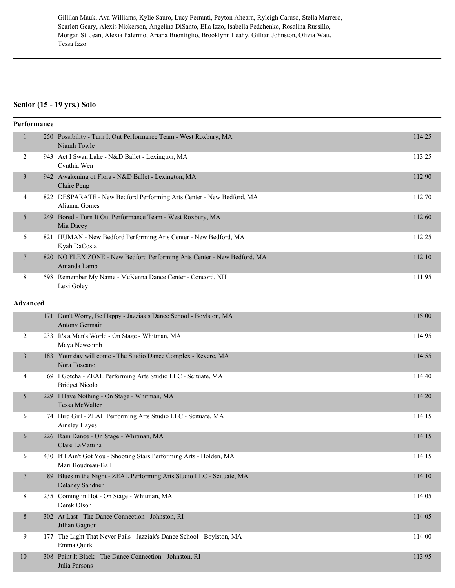Gillilan Mauk, Ava Williams, Kylie Sauro, Lucy Ferranti, Peyton Ahearn, Ryleigh Caruso, Stella Marrero, Scarlett Geary, Alexis Nickerson, Angelina DiSanto, Ella Izzo, Isabella Pedchenko, Rosalina Russillo, Morgan St. Jean, Alexia Palermo, Ariana Buonfiglio, Brooklynn Leahy, Gillian Johnston, Olivia Watt, Tessa Izzo

#### **Senior (15 - 19 yrs.) Solo**

|                          | Performance     |                                                                                            |        |
|--------------------------|-----------------|--------------------------------------------------------------------------------------------|--------|
| 1                        |                 | 250 Possibility - Turn It Out Performance Team - West Roxbury, MA<br>Niamh Towle           | 114.25 |
| 2                        |                 | 943 Act I Swan Lake - N&D Ballet - Lexington, MA<br>Cynthia Wen                            | 113.25 |
| 3                        |                 | 942 Awakening of Flora - N&D Ballet - Lexington, MA<br>Claire Peng                         | 112.90 |
| 4                        |                 | 822 DESPARATE - New Bedford Performing Arts Center - New Bedford, MA<br>Alianna Gomes      | 112.70 |
| 5                        |                 | 249 Bored - Turn It Out Performance Team - West Roxbury, MA<br>Mia Dacey                   | 112.60 |
| 6                        |                 | 821 HUMAN - New Bedford Performing Arts Center - New Bedford, MA<br>Kyah DaCosta           | 112.25 |
| $\tau$                   |                 | 820 NO FLEX ZONE - New Bedford Performing Arts Center - New Bedford, MA<br>Amanda Lamb     | 112.10 |
| 8                        |                 | 598 Remember My Name - McKenna Dance Center - Concord, NH<br>Lexi Goley                    | 111.95 |
|                          | <b>Advanced</b> |                                                                                            |        |
| $\mathbf{1}$             |                 | 171 Don't Worry, Be Happy - Jazziak's Dance School - Boylston, MA<br>Antony Germain        | 115.00 |
| 2                        |                 | 233 It's a Man's World - On Stage - Whitman, MA<br>Maya Newcomb                            | 114.95 |
| 3                        |                 | 183 Your day will come - The Studio Dance Complex - Revere, MA<br>Nora Toscano             | 114.55 |
| 4                        |                 | 69 I Gotcha - ZEAL Performing Arts Studio LLC - Scituate, MA<br><b>Bridget Nicolo</b>      | 114.40 |
| 5                        |                 | 229 I Have Nothing - On Stage - Whitman, MA<br>Tessa McWalter                              | 114.20 |
| 6                        |                 | 74 Bird Girl - ZEAL Performing Arts Studio LLC - Scituate, MA<br>Ainsley Hayes             | 114.15 |
| 6                        |                 | 226 Rain Dance - On Stage - Whitman, MA<br>Clare LaMattina                                 | 114.15 |
| 6                        |                 | 430 If I Ain't Got You - Shooting Stars Performing Arts - Holden, MA<br>Mari Boudreau-Ball | 114.15 |
| $\overline{\phantom{a}}$ |                 | 89 Blues in the Night - ZEAL Performing Arts Studio LLC - Scituate, MA<br>Delaney Sandner  | 114.10 |
| 8                        |                 | 235 Coming in Hot - On Stage - Whitman, MA<br>Derek Olson                                  | 114.05 |
| 8                        |                 | 302 At Last - The Dance Connection - Johnston, RI<br>Jillian Gagnon                        | 114.05 |
| 9                        |                 | 177 The Light That Never Fails - Jazziak's Dance School - Boylston, MA<br>Emma Quirk       | 114.00 |
| $10\,$                   |                 | 308 Paint It Black - The Dance Connection - Johnston, RI<br>Julia Parsons                  | 113.95 |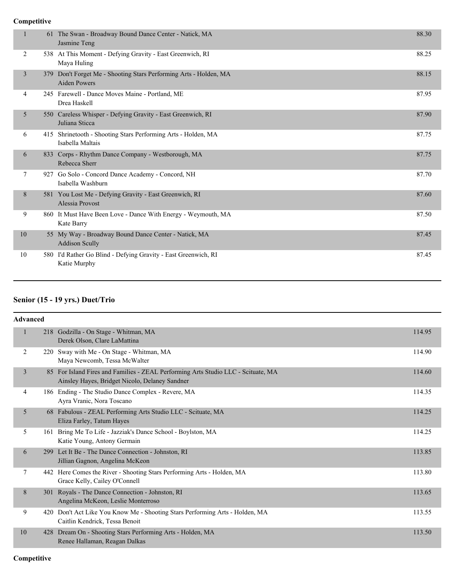#### **Competitive**

|    |                | 61 The Swan - Broadway Bound Dance Center - Natick, MA<br>Jasmine Teng                   | 88.30 |
|----|----------------|------------------------------------------------------------------------------------------|-------|
|    | 2              | 538 At This Moment - Defying Gravity - East Greenwich, RI<br>Maya Huling                 | 88.25 |
|    | $\overline{3}$ | 379 Don't Forget Me - Shooting Stars Performing Arts - Holden, MA<br><b>Aiden Powers</b> | 88.15 |
|    | $\overline{4}$ | 245 Farewell - Dance Moves Maine - Portland, ME<br>Drea Haskell                          | 87.95 |
|    | 5<br>550       | Careless Whisper - Defying Gravity - East Greenwich, RI<br>Juliana Sticca                | 87.90 |
|    | 6              | 415 Shrinetooth - Shooting Stars Performing Arts - Holden, MA<br>Isabella Maltais        | 87.75 |
|    | 6<br>833       | Corps - Rhythm Dance Company - Westborough, MA<br>Rebecca Sherr                          | 87.75 |
|    | 7<br>927       | Go Solo - Concord Dance Academy - Concord, NH<br>Isabella Washburn                       | 87.70 |
|    | 8              | 581 You Lost Me - Defying Gravity - East Greenwich, RI<br>Alessia Provost                | 87.60 |
|    | 9              | 860 It Must Have Been Love - Dance With Energy - Weymouth, MA<br>Kate Barry              | 87.50 |
| 10 |                | 55 My Way - Broadway Bound Dance Center - Natick, MA<br><b>Addison Scully</b>            | 87.45 |
| 10 |                | 580 I'd Rather Go Blind - Defying Gravity - East Greenwich, RI<br>Katie Murphy           | 87.45 |

# **Senior (15 - 19 yrs.) Duet/Trio**

|                | <b>Advanced</b> |                                                                                                                                     |        |  |  |
|----------------|-----------------|-------------------------------------------------------------------------------------------------------------------------------------|--------|--|--|
| $\mathbf{1}$   |                 | 218 Godzilla - On Stage - Whitman, MA<br>Derek Olson, Clare LaMattina                                                               | 114.95 |  |  |
| $\overline{2}$ | 220             | Sway with Me - On Stage - Whitman, MA<br>Maya Newcomb, Tessa McWalter                                                               | 114.90 |  |  |
| $\overline{3}$ |                 | 85 For Island Fires and Families - ZEAL Performing Arts Studio LLC - Scituate, MA<br>Ainsley Hayes, Bridget Nicolo, Delaney Sandner | 114.60 |  |  |
| 4              |                 | 186 Ending - The Studio Dance Complex - Revere, MA<br>Ayra Vranic, Nora Toscano                                                     | 114.35 |  |  |
| 5              |                 | 68 Fabulous - ZEAL Performing Arts Studio LLC - Scituate, MA<br>Eliza Farley, Tatum Hayes                                           | 114.25 |  |  |
| 5              |                 | 161 Bring Me To Life - Jazziak's Dance School - Boylston, MA<br>Katie Young, Antony Germain                                         | 114.25 |  |  |
| 6              | 299             | Let It Be - The Dance Connection - Johnston, RI<br>Jillian Gagnon, Angelina McKeon                                                  | 113.85 |  |  |
| 7              |                 | 442 Here Comes the River - Shooting Stars Performing Arts - Holden, MA<br>Grace Kelly, Cailey O'Connell                             | 113.80 |  |  |
| 8              |                 | 301 Royals - The Dance Connection - Johnston, RI<br>Angelina McKeon, Leslie Monterroso                                              | 113.65 |  |  |
| 9              | 420             | Don't Act Like You Know Me - Shooting Stars Performing Arts - Holden, MA<br>Caitlin Kendrick, Tessa Benoit                          | 113.55 |  |  |
| 10             |                 | 428 Dream On - Shooting Stars Performing Arts - Holden, MA<br>Renee Hallaman, Reagan Dalkas                                         | 113.50 |  |  |

**Competitive**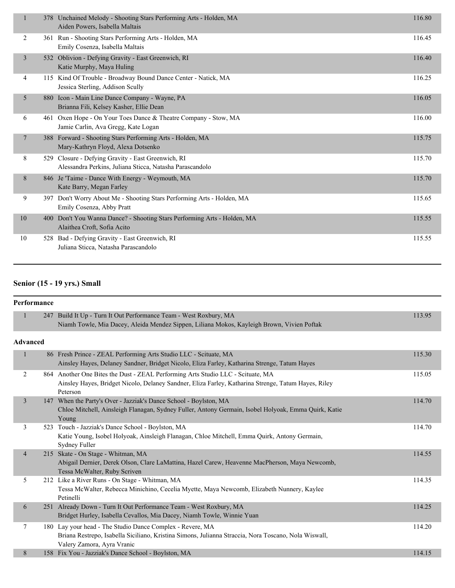| $\mathbf{1}$   |     | 378 Unchained Melody - Shooting Stars Performing Arts - Holden, MA<br>Aiden Powers, Isabella Maltais           | 116.80 |
|----------------|-----|----------------------------------------------------------------------------------------------------------------|--------|
| 2              | 361 | Run - Shooting Stars Performing Arts - Holden, MA<br>Emily Cosenza, Isabella Maltais                           | 116.45 |
| $\overline{3}$ |     | 532 Oblivion - Defying Gravity - East Greenwich, RI<br>Katie Murphy, Maya Huling                               | 116.40 |
| $\overline{4}$ |     | 115 Kind Of Trouble - Broadway Bound Dance Center - Natick, MA<br>Jessica Sterling, Addison Scully             | 116.25 |
| 5              |     | 880 Icon - Main Line Dance Company - Wayne, PA<br>Brianna Fili, Kelsey Kasher, Ellie Dean                      | 116.05 |
| 6              | 461 | Oxen Hope - On Your Toes Dance & Theatre Company - Stow, MA<br>Jamie Carlin, Ava Gregg, Kate Logan             | 116.00 |
| $\overline{7}$ |     | 388 Forward - Shooting Stars Performing Arts - Holden, MA<br>Mary-Kathryn Floyd, Alexa Dotsenko                | 115.75 |
| 8              |     | 529 Closure - Defying Gravity - East Greenwich, RI<br>Alessandra Perkins, Juliana Sticca, Natasha Parascandolo | 115.70 |
| 8              |     | 846 Je 'Taime - Dance With Energy - Weymouth, MA<br>Kate Barry, Megan Farley                                   | 115.70 |
| 9              |     | 397 Don't Worry About Me - Shooting Stars Performing Arts - Holden, MA<br>Emily Cosenza, Abby Pratt            | 115.65 |
| 10             |     | 400 Don't You Wanna Dance? - Shooting Stars Performing Arts - Holden, MA<br>Alaithea Croft, Sofia Acito        | 115.55 |
| 10             |     | 528 Bad - Defying Gravity - East Greenwich, RI<br>Juliana Sticca, Natasha Parascandolo                         | 115.55 |
|                |     |                                                                                                                |        |

# **Senior (15 - 19 yrs.) Small**

|                 | <b>Performance</b> |                                                                                                                                                                                                    |        |
|-----------------|--------------------|----------------------------------------------------------------------------------------------------------------------------------------------------------------------------------------------------|--------|
| 1               |                    | 247 Build It Up - Turn It Out Performance Team - West Roxbury, MA<br>Niamh Towle, Mia Dacey, Aleida Mendez Sippen, Liliana Mokos, Kayleigh Brown, Vivien Poftak                                    | 113.95 |
| <b>Advanced</b> |                    |                                                                                                                                                                                                    |        |
| $\mathbf{1}$    |                    | 86 Fresh Prince - ZEAL Performing Arts Studio LLC - Scituate, MA<br>Ainsley Hayes, Delaney Sandner, Bridget Nicolo, Eliza Farley, Katharina Strenge, Tatum Hayes                                   | 115.30 |
| 2               |                    | 864 Another One Bites the Dust - ZEAL Performing Arts Studio LLC - Scituate, MA<br>Ainsley Hayes, Bridget Nicolo, Delaney Sandner, Eliza Farley, Katharina Strenge, Tatum Hayes, Riley<br>Peterson | 115.05 |
| $\overline{3}$  |                    | 147 When the Party's Over - Jazziak's Dance School - Boylston, MA<br>Chloe Mitchell, Ainsleigh Flanagan, Sydney Fuller, Antony Germain, Isobel Holyoak, Emma Quirk, Katie<br>Young                 | 114.70 |
| 3               |                    | 523 Touch - Jazziak's Dance School - Boylston, MA<br>Katie Young, Isobel Holyoak, Ainsleigh Flanagan, Chloe Mitchell, Emma Quirk, Antony Germain,<br>Sydney Fuller                                 | 114.70 |
| $\overline{4}$  |                    | 215 Skate - On Stage - Whitman, MA<br>Abigail Dernier, Derek Olson, Clare LaMattina, Hazel Carew, Heavenne MacPherson, Maya Newcomb,<br>Tessa McWalter, Ruby Scriven                               | 114.55 |
| 5               |                    | 212 Like a River Runs - On Stage - Whitman, MA<br>Tessa McWalter, Rebecca Minichino, Cecelia Myette, Maya Newcomb, Elizabeth Nunnery, Kaylee<br>Petinelli                                          | 114.35 |
| 6               | 251                | Already Down - Turn It Out Performance Team - West Roxbury, MA<br>Bridget Hurley, Isabella Cevallos, Mia Dacey, Niamh Towle, Winnie Yuan                                                           | 114.25 |
| 7               |                    | 180 Lay your head - The Studio Dance Complex - Revere, MA<br>Briana Restrepo, Isabella Siciliano, Kristina Simons, Julianna Straccia, Nora Toscano, Nola Wiswall,<br>Valery Zamora, Ayra Vranic    | 114.20 |
| 8               |                    | 158 Fix You - Jazziak's Dance School - Boylston, MA                                                                                                                                                | 114.15 |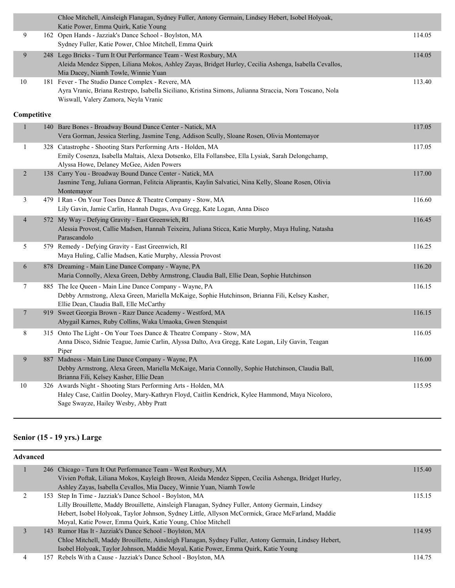|                          |     | Chloe Mitchell, Ainsleigh Flanagan, Sydney Fuller, Antony Germain, Lindsey Hebert, Isobel Holyoak,<br>Katie Power, Emma Quirk, Katie Young                                                                         |        |
|--------------------------|-----|--------------------------------------------------------------------------------------------------------------------------------------------------------------------------------------------------------------------|--------|
| 9                        |     | 162 Open Hands - Jazziak's Dance School - Boylston, MA<br>Sydney Fuller, Katie Power, Chloe Mitchell, Emma Quirk                                                                                                   | 114.05 |
| 9                        |     | 248 Lego Bricks - Turn It Out Performance Team - West Roxbury, MA<br>Aleida Mendez Sippen, Liliana Mokos, Ashley Zayas, Bridget Hurley, Cecilia Ashenga, Isabella Cevallos,<br>Mia Dacey, Niamh Towle, Winnie Yuan | 114.05 |
| $10\,$                   |     | 181 Fever - The Studio Dance Complex - Revere, MA<br>Ayra Vranic, Briana Restrepo, Isabella Siciliano, Kristina Simons, Julianna Straccia, Nora Toscano, Nola<br>Wiswall, Valery Zamora, Neyla Vranic              | 113.40 |
| Competitive              |     |                                                                                                                                                                                                                    |        |
| $\mathbf{1}$             | 140 | Bare Bones - Broadway Bound Dance Center - Natick, MA<br>Vera Gorman, Jessica Sterling, Jasmine Teng, Addison Scully, Sloane Rosen, Olivia Montemayor                                                              | 117.05 |
| 1                        |     | 328 Catastrophe - Shooting Stars Performing Arts - Holden, MA<br>Emily Cosenza, Isabella Maltais, Alexa Dotsenko, Ella Follansbee, Ella Lysiak, Sarah Delongchamp,<br>Alyssa Howe, Delaney McGee, Aiden Powers     | 117.05 |
| $\overline{2}$           |     | 138 Carry You - Broadway Bound Dance Center - Natick, MA<br>Jasmine Teng, Juliana Gorman, Felitcia Aliprantis, Kaylin Salvatici, Nina Kelly, Sloane Rosen, Olivia<br>Montemayor                                    | 117.00 |
| 3                        |     | 479 I Ran - On Your Toes Dance & Theatre Company - Stow, MA<br>Lily Gavin, Jamie Carlin, Hannah Dugas, Ava Gregg, Kate Logan, Anna Disco                                                                           | 116.60 |
| $\overline{\mathcal{A}}$ |     | 572 My Way - Defying Gravity - East Greenwich, RI<br>Alessia Provost, Callie Madsen, Hannah Teixeira, Juliana Sticca, Katie Murphy, Maya Huling, Natasha<br>Parascandolo                                           | 116.45 |
| 5                        |     | 579 Remedy - Defying Gravity - East Greenwich, RI<br>Maya Huling, Callie Madsen, Katie Murphy, Alessia Provost                                                                                                     | 116.25 |
| 6                        |     | 878 Dreaming - Main Line Dance Company - Wayne, PA<br>Maria Connolly, Alexa Green, Debby Armstrong, Claudia Ball, Ellie Dean, Sophie Hutchinson                                                                    | 116.20 |
| 7                        |     | 885 The Ice Queen - Main Line Dance Company - Wayne, PA<br>Debby Armstrong, Alexa Green, Mariella McKaige, Sophie Hutchinson, Brianna Fili, Kelsey Kasher,<br>Ellie Dean, Claudia Ball, Elle McCarthy              | 116.15 |
| $\tau$                   |     | 919 Sweet Georgia Brown - Razr Dance Academy - Westford, MA<br>Abygail Karnes, Ruby Collins, Waka Umaoka, Gwen Stenquist                                                                                           | 116.15 |
| 8                        |     | 315 Onto The Light - On Your Toes Dance & Theatre Company - Stow, MA<br>Anna Disco, Sidnie Teague, Jamie Carlin, Alyssa Dalto, Ava Gregg, Kate Logan, Lily Gavin, Teagan<br>Piper                                  | 116.05 |
| 9                        |     | 887 Madness - Main Line Dance Company - Wayne, PA<br>Debby Armstrong, Alexa Green, Mariella McKaige, Maria Connolly, Sophie Hutchinson, Claudia Ball,<br>Brianna Fili, Kelsey Kasher, Ellie Dean                   | 116.00 |
| 10                       |     | 326 Awards Night - Shooting Stars Performing Arts - Holden, MA<br>Haley Case, Caitlin Dooley, Mary-Kathryn Floyd, Caitlin Kendrick, Kylee Hammond, Maya Nicoloro,<br>Sage Swayze, Hailey Wesby, Abby Pratt         | 115.95 |

# **Senior (15 - 19 yrs.) Large**

| <b>Advanced</b> |                                                                                                       |        |  |  |
|-----------------|-------------------------------------------------------------------------------------------------------|--------|--|--|
|                 | 246 Chicago - Turn It Out Performance Team - West Roxbury, MA                                         | 115.40 |  |  |
|                 | Vivien Poftak, Liliana Mokos, Kayleigh Brown, Aleida Mendez Sippen, Cecilia Ashenga, Bridget Hurley,  |        |  |  |
|                 | Ashley Zayas, Isabella Cevallos, Mia Dacey, Winnie Yuan, Niamh Towle                                  |        |  |  |
|                 | 153 Step In Time - Jazziak's Dance School - Boylston, MA                                              | 115.15 |  |  |
|                 | Lilly Brouillette, Maddy Brouillette, Ainsleigh Flanagan, Sydney Fuller, Antony Germain, Lindsey      |        |  |  |
|                 | Hebert, Isobel Holyoak, Taylor Johnson, Sydney Little, Allyson McCormick, Grace McFarland, Maddie     |        |  |  |
|                 | Moyal, Katie Power, Emma Quirk, Katie Young, Chloe Mitchell                                           |        |  |  |
|                 | 143 Rumor Has It - Jazziak's Dance School - Boylston, MA                                              | 114.95 |  |  |
|                 | Chloe Mitchell, Maddy Brouillette, Ainsleigh Flanagan, Sydney Fuller, Antony Germain, Lindsey Hebert, |        |  |  |
|                 | Isobel Holyoak, Taylor Johnson, Maddie Moyal, Katie Power, Emma Quirk, Katie Young                    |        |  |  |
|                 | 157 Rebels With a Cause - Jazziak's Dance School - Boylston, MA                                       | 114.75 |  |  |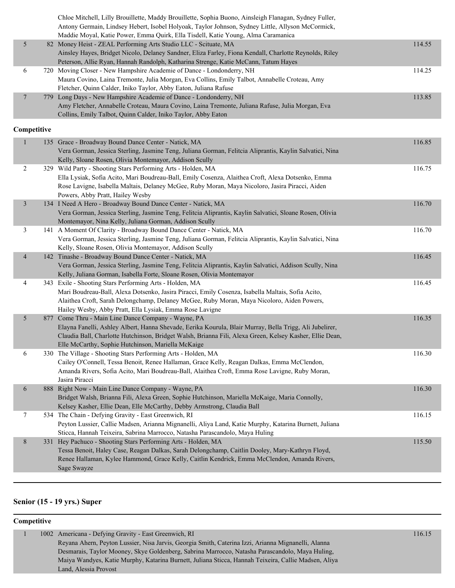|                          |     | Chloe Mitchell, Lilly Brouillette, Maddy Brouillette, Sophia Buono, Ainsleigh Flanagan, Sydney Fuller,<br>Antony Germain, Lindsey Hebert, Isobel Holyoak, Taylor Johnson, Sydney Little, Allyson McCormick,<br>Maddie Moyal, Katie Power, Emma Quirk, Ella Tisdell, Katie Young, Alma Caramanica                             |        |
|--------------------------|-----|------------------------------------------------------------------------------------------------------------------------------------------------------------------------------------------------------------------------------------------------------------------------------------------------------------------------------|--------|
| 5                        |     | 82 Money Heist - ZEAL Performing Arts Studio LLC - Scituate, MA<br>Ainsley Hayes, Bridget Nicolo, Delaney Sandner, Eliza Farley, Fiona Kendall, Charlotte Reynolds, Riley<br>Peterson, Allie Ryan, Hannah Randolph, Katharina Strenge, Katie McCann, Tatum Hayes                                                             | 114.55 |
| 6                        |     | 720 Moving Closer - New Hampshire Academie of Dance - Londonderry, NH<br>Maura Covino, Laina Tremonte, Julia Morgan, Eva Collins, Emily Talbot, Annabelle Croteau, Amy<br>Fletcher, Quinn Calder, Iniko Taylor, Abby Eaton, Juliana Rafuse                                                                                   | 114.25 |
| $\overline{\phantom{a}}$ |     | 779 Long Days - New Hampshire Academie of Dance - Londonderry, NH<br>Amy Fletcher, Annabelle Croteau, Maura Covino, Laina Tremonte, Juliana Rafuse, Julia Morgan, Eva<br>Collins, Emily Talbot, Quinn Calder, Iniko Taylor, Abby Eaton                                                                                       | 113.85 |
| Competitive              |     |                                                                                                                                                                                                                                                                                                                              |        |
|                          |     | 135 Grace - Broadway Bound Dance Center - Natick, MA<br>Vera Gorman, Jessica Sterling, Jasmine Teng, Juliana Gorman, Felitcia Aliprantis, Kaylin Salvatici, Nina<br>Kelly, Sloane Rosen, Olivia Montemayor, Addison Scully                                                                                                   | 116.85 |
| $\overline{2}$           |     | 329 Wild Party - Shooting Stars Performing Arts - Holden, MA<br>Ella Lysiak, Sofia Acito, Mari Boudreau-Ball, Emily Cosenza, Alaithea Croft, Alexa Dotsenko, Emma<br>Rose Lavigne, Isabella Maltais, Delaney McGee, Ruby Moran, Maya Nicoloro, Jasira Piracci, Aiden<br>Powers, Abby Pratt, Hailey Wesby                     | 116.75 |
| $\mathfrak{Z}$           |     | 134 I Need A Hero - Broadway Bound Dance Center - Natick, MA<br>Vera Gorman, Jessica Sterling, Jasmine Teng, Felitcia Aliprantis, Kaylin Salvatici, Sloane Rosen, Olivia<br>Montemayor, Nina Kelly, Juliana Gorman, Addison Scully                                                                                           | 116.70 |
| 3                        |     | 141 A Moment Of Clarity - Broadway Bound Dance Center - Natick, MA<br>Vera Gorman, Jessica Sterling, Jasmine Teng, Juliana Gorman, Felitcia Aliprantis, Kaylin Salvatici, Nina<br>Kelly, Sloane Rosen, Olivia Montemayor, Addison Scully                                                                                     | 116.70 |
| $\overline{4}$           |     | 142 Tinashe - Broadway Bound Dance Center - Natick, MA<br>Vera Gorman, Jessica Sterling, Jasmine Teng, Felitcia Aliprantis, Kaylin Salvatici, Addison Scully, Nina<br>Kelly, Juliana Gorman, Isabella Forte, Sloane Rosen, Olivia Montemayor                                                                                 | 116.45 |
| 4                        |     | 343 Exile - Shooting Stars Performing Arts - Holden, MA<br>Mari Boudreau-Ball, Alexa Dotsenko, Jasira Piracci, Emily Cosenza, Isabella Maltais, Sofia Acito,<br>Alaithea Croft, Sarah Delongchamp, Delaney McGee, Ruby Moran, Maya Nicoloro, Aiden Powers,<br>Hailey Wesby, Abby Pratt, Ella Lysiak, Emma Rose Lavigne       | 116.45 |
| 5                        | 877 | Come Thru - Main Line Dance Company - Wayne, PA<br>Elayna Fanelli, Ashley Albert, Hanna Shevade, Eerika Kourula, Blair Murray, Bella Trigg, Ali Jubelirer,<br>Claudia Ball, Charlotte Hutchinson, Bridget Walsh, Brianna Fili, Alexa Green, Kelsey Kasher, Ellie Dean,<br>Elle McCarthy, Sophie Hutchinson, Mariella McKaige | 116.35 |
| 6                        |     | 330 The Village - Shooting Stars Performing Arts - Holden, MA<br>Cailey O'Connell, Tessa Benoit, Renee Hallaman, Grace Kelly, Reagan Dalkas, Emma McClendon,<br>Amanda Rivers, Sofia Acito, Mari Boudreau-Ball, Alaithea Croft, Emma Rose Lavigne, Ruby Moran,<br>Jasira Piracci                                             | 116.30 |
| 6                        |     | 888 Right Now - Main Line Dance Company - Wayne, PA<br>Bridget Walsh, Brianna Fili, Alexa Green, Sophie Hutchinson, Mariella McKaige, Maria Connolly,<br>Kelsey Kasher, Ellie Dean, Elle McCarthy, Debby Armstrong, Claudia Ball                                                                                             | 116.30 |
| 7                        |     | 534 The Chain - Defying Gravity - East Greenwich, RI<br>Peyton Lussier, Callie Madsen, Arianna Mignanelli, Aliya Land, Katie Murphy, Katarina Burnett, Juliana<br>Sticca, Hannah Teixeira, Sabrina Marrocco, Natasha Parascandolo, Maya Huling                                                                               | 116.15 |
| 8                        |     | 331 Hey Pachuco - Shooting Stars Performing Arts - Holden, MA<br>Tessa Benoit, Haley Case, Reagan Dalkas, Sarah Delongchamp, Caitlin Dooley, Mary-Kathryn Floyd,<br>Renee Hallaman, Kylee Hammond, Grace Kelly, Caitlin Kendrick, Emma McClendon, Amanda Rivers,<br>Sage Swayze                                              | 115.50 |

# **Senior (15 - 19 yrs.) Super**

# **Competitive**

|  | 1002 Americana - Defying Gravity - East Greenwich, RI                                                | 116.15 |
|--|------------------------------------------------------------------------------------------------------|--------|
|  | Reyana Ahern, Peyton Lussier, Nisa Jarvis, Georgia Smith, Caterina Izzi, Arianna Mignanelli, Alanna  |        |
|  | Desmarais, Taylor Mooney, Skye Goldenberg, Sabrina Marrocco, Natasha Parascandolo, Maya Huling,      |        |
|  | Maiya Wandyes, Katie Murphy, Katarina Burnett, Juliana Sticca, Hannah Teixeira, Callie Madsen, Aliya |        |
|  | Land, Alessia Provost                                                                                |        |